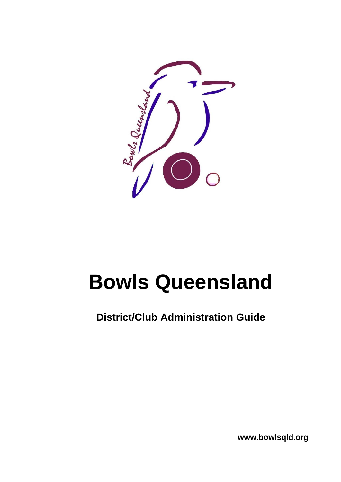

# **Bowls Queensland**

**District/Club Administration Guide**

**www.bowlsqld.org**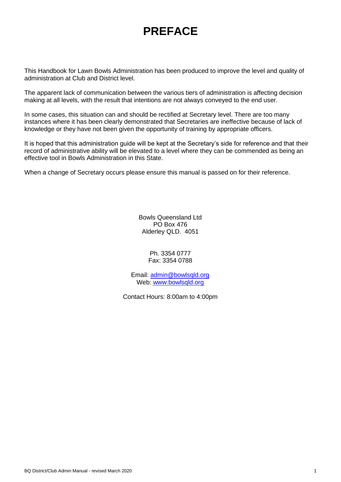# **PREFACE**

This Handbook for Lawn Bowls Administration has been produced to improve the level and quality of administration at Club and District level.

The apparent lack of communication between the various tiers of administration is affecting decision making at all levels, with the result that intentions are not always conveyed to the end user.

In some cases, this situation can and should be rectified at Secretary level. There are too many instances where it has been clearly demonstrated that Secretaries are ineffective because of lack of knowledge or they have not been given the opportunity of training by appropriate officers.

It is hoped that this administration guide will be kept at the Secretary's side for reference and that their record of administrative ability will be elevated to a level where they can be commended as being an effective tool in Bowls Administration in this State.

When a change of Secretary occurs please ensure this manual is passed on for their reference.

Bowls Queensland Ltd PO Box 476 Alderley QLD. 4051

> Ph. 3354 0777 Fax: 3354 0788

Email: [admin@bowlsqld.org](mailto:admin@bowlsqld.org) Web: [www.bowlsqld.org](http://www.bowlsqld.org/)

Contact Hours: 8:00am to 4:00pm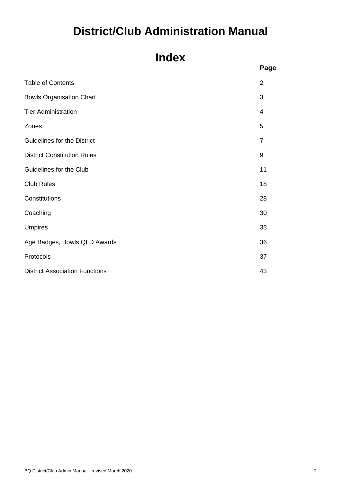# **District/Club Administration Manual**

# **Index**

|                                       | Page           |
|---------------------------------------|----------------|
| <b>Table of Contents</b>              | $\overline{2}$ |
| <b>Bowls Organisation Chart</b>       | 3              |
| <b>Tier Administration</b>            | $\overline{4}$ |
| Zones                                 | 5              |
| <b>Guidelines for the District</b>    | $\overline{7}$ |
| <b>District Constitution Rules</b>    | 9              |
| Guidelines for the Club               | 11             |
| <b>Club Rules</b>                     | 18             |
| Constitutions                         | 28             |
| Coaching                              | 30             |
| <b>Umpires</b>                        | 33             |
| Age Badges, Bowls QLD Awards          | 36             |
| Protocols                             | 37             |
| <b>District Association Functions</b> | 43             |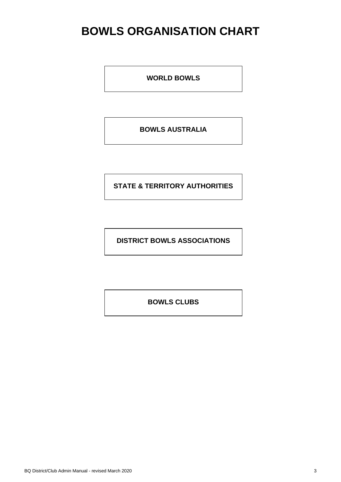# **BOWLS ORGANISATION CHART**

**WORLD BOWLS**

**BOWLS AUSTRALIA**

**STATE & TERRITORY AUTHORITIES**

**DISTRICT BOWLS ASSOCIATIONS**

**BOWLS CLUBS**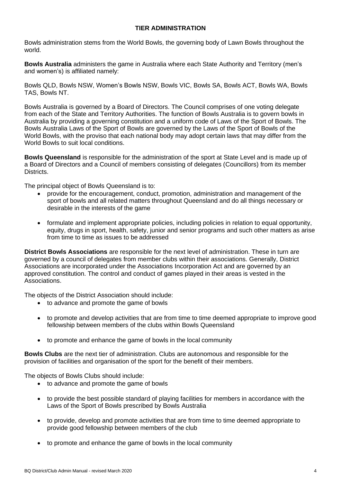# **TIER ADMINISTRATION**

Bowls administration stems from the World Bowls, the governing body of Lawn Bowls throughout the world.

**Bowls Australia** administers the game in Australia where each State Authority and Territory (men's and women's) is affiliated namely:

Bowls QLD, Bowls NSW, Women's Bowls NSW, Bowls VIC, Bowls SA, Bowls ACT, Bowls WA, Bowls TAS, Bowls NT.

Bowls Australia is governed by a Board of Directors. The Council comprises of one voting delegate from each of the State and Territory Authorities. The function of Bowls Australia is to govern bowls in Australia by providing a governing constitution and a uniform code of Laws of the Sport of Bowls. The Bowls Australia Laws of the Sport of Bowls are governed by the Laws of the Sport of Bowls of the World Bowls, with the proviso that each national body may adopt certain laws that may differ from the World Bowls to suit local conditions.

**Bowls Queensland** is responsible for the administration of the sport at State Level and is made up of a Board of Directors and a Council of members consisting of delegates (Councillors) from its member Districts.

The principal object of Bowls Queensland is to:

- provide for the encouragement, conduct, promotion, administration and management of the sport of bowls and all related matters throughout Queensland and do all things necessary or desirable in the interests of the game
- formulate and implement appropriate policies, including policies in relation to equal opportunity, equity, drugs in sport, health, safety, junior and senior programs and such other matters as arise from time to time as issues to be addressed

**District Bowls Associations** are responsible for the next level of administration. These in turn are governed by a council of delegates from member clubs within their associations. Generally, District Associations are incorporated under the Associations Incorporation Act and are governed by an approved constitution. The control and conduct of games played in their areas is vested in the Associations.

The objects of the District Association should include:

- to advance and promote the game of bowls
- to promote and develop activities that are from time to time deemed appropriate to improve good fellowship between members of the clubs within Bowls Queensland
- to promote and enhance the game of bowls in the local community

**Bowls Clubs** are the next tier of administration. Clubs are autonomous and responsible for the provision of facilities and organisation of the sport for the benefit of their members.

The objects of Bowls Clubs should include:

- to advance and promote the game of bowls
- to provide the best possible standard of playing facilities for members in accordance with the Laws of the Sport of Bowls prescribed by Bowls Australia
- to provide, develop and promote activities that are from time to time deemed appropriate to provide good fellowship between members of the club
- to promote and enhance the game of bowls in the local community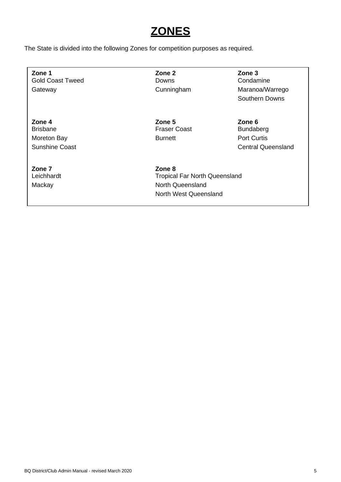# **ZONES**

The State is divided into the following Zones for competition purposes as required.

**Zone 1 Zone 2 Zone 3** Gold Coast Tweed **Downs** Downs Condamine

**Zone 4 Zone 5 Zone 6** Brisbane **Fraser Coast** Bundaberg **Brisbane** Moreton Bay **Burnett Burnett** Port Curtis

**Zone 7 Zone 8**

Gateway **Cunningham** Cunningham Maranoa/Warrego Southern Downs

Sunshine Coast **Central Queensland** Central Queensland

Tropical Far North Queensland Mackay **North Queensland** North West Queensland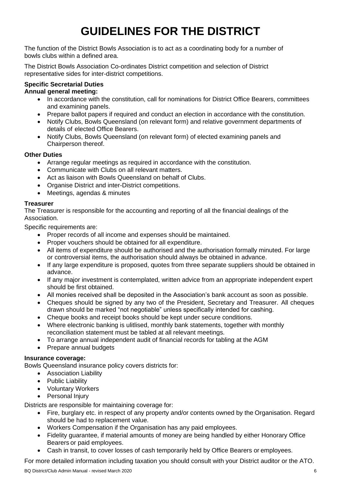# **GUIDELINES FOR THE DISTRICT**

The function of the District Bowls Association is to act as a coordinating body for a number of bowls clubs within a defined area.

The District Bowls Association Co-ordinates District competition and selection of District representative sides for inter-district competitions.

# **Specific Secretarial Duties**

- **Annual general meeting:**
	- In accordance with the constitution, call for nominations for District Office Bearers, committees and examining panels.
	- Prepare ballot papers if required and conduct an election in accordance with the constitution.
	- Notify Clubs, Bowls Queensland (on relevant form) and relative government departments of details of elected Office Bearers.
	- Notify Clubs, Bowls Queensland (on relevant form) of elected examining panels and Chairperson thereof.

# **Other Duties**

- Arrange regular meetings as required in accordance with the constitution.
- Communicate with Clubs on all relevant matters.
- Act as liaison with Bowls Queensland on behalf of Clubs.
- Organise District and inter-District competitions.
- Meetings, agendas & minutes

# **Treasurer**

The Treasurer is responsible for the accounting and reporting of all the financial dealings of the Association.

Specific requirements are:

- Proper records of all income and expenses should be maintained.
- Proper vouchers should be obtained for all expenditure.
- All items of expenditure should be authorised and the authorisation formally minuted. For large or controversial items, the authorisation should always be obtained in advance.
- If any large expenditure is proposed, quotes from three separate suppliers should be obtained in advance.
- If any major investment is contemplated, written advice from an appropriate independent expert should be first obtained.
- All monies received shall be deposited in the Association's bank account as soon as possible.
- Cheques should be signed by any two of the President, Secretary and Treasurer. All cheques drawn should be marked "not negotiable" unless specifically intended for cashing.
- Cheque books and receipt books should be kept under secure conditions.
- Where electronic banking is ulitlised, monthly bank statements, together with monthly reconciliation statement must be tabled at all relevant meetings.
- To arrange annual independent audit of financial records for tabling at the AGM
- Prepare annual budgets

# **Insurance coverage:**

Bowls Queensland insurance policy covers districts for:

- Association Liability
- Public Liability
- Voluntary Workers
- Personal Injury

Districts are responsible for maintaining coverage for:

- Fire, burglary etc. in respect of any property and/or contents owned by the Organisation. Regard should be had to replacement value.
- Workers Compensation if the Organisation has any paid employees.
- Fidelity guarantee, if material amounts of money are being handled by either Honorary Office Bearers or paid employees.
- Cash in transit, to cover losses of cash temporarily held by Office Bearers or employees.

For more detailed information including taxation you should consult with your District auditor or the ATO.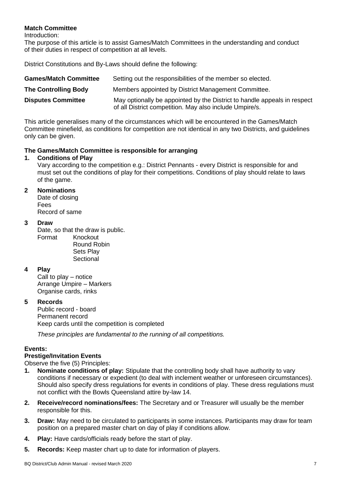# **Match Committee**

Introduction:

The purpose of this article is to assist Games/Match Committees in the understanding and conduct of their duties in respect of competition at all levels.

District Constitutions and By-Laws should define the following:

| <b>Games/Match Committee</b> | Setting out the responsibilities of the member so elected.                                                                          |
|------------------------------|-------------------------------------------------------------------------------------------------------------------------------------|
| <b>The Controlling Body</b>  | Members appointed by District Management Committee.                                                                                 |
| <b>Disputes Committee</b>    | May optionally be appointed by the District to handle appeals in respect<br>of all District competition. May also include Umpire/s. |

This article generalises many of the circumstances which will be encountered in the Games/Match Committee minefield, as conditions for competition are not identical in any two Districts, and guidelines only can be given.

# **The Games/Match Committee is responsible for arranging**

# **1. Conditions of Play**

Vary according to the competition e.g.: District Pennants - every District is responsible for and must set out the conditions of play for their competitions. Conditions of play should relate to laws of the game.

# **2 Nominations**

Date of closing Fees Record of same

# **3 Draw**

Date, so that the draw is public. Format Knockout

Round Robin Sets Play **Sectional** 

# **4 Play**

Call to play – notice Arrange Umpire – Markers Organise cards, rinks

# **5 Records**

Public record - board Permanent record Keep cards until the competition is completed

*These principles are fundamental to the running of all competitions.*

# **Events:**

# **Prestige/Invitation Events**

Observe the five (5) Principles:

- **1. Nominate conditions of play:** Stipulate that the controlling body shall have authority to vary conditions if necessary or expedient (to deal with inclement weather or unforeseen circumstances). Should also specify dress regulations for events in conditions of play. These dress regulations must not conflict with the Bowls Queensland attire by-law 14.
- **2. Receive/record nominations/fees:** The Secretary and or Treasurer will usually be the member responsible for this.
- **3. Draw:** May need to be circulated to participants in some instances. Participants may draw for team position on a prepared master chart on day of play if conditions allow.
- **4. Play:** Have cards/officials ready before the start of play.
- **5. Records:** Keep master chart up to date for information of players.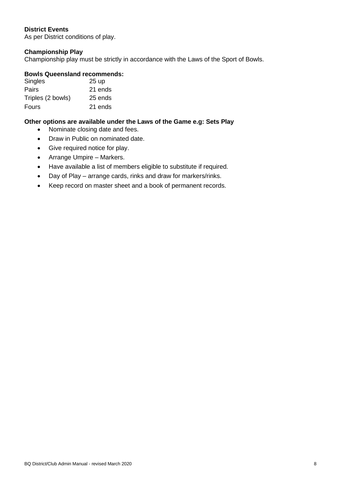# **District Events**

As per District conditions of play.

# **Championship Play**

Championship play must be strictly in accordance with the Laws of the Sport of Bowls.

# **Bowls Queensland recommends:**

| Singles           | 25 up   |
|-------------------|---------|
| Pairs             | 21 ends |
| Triples (2 bowls) | 25 ends |
| Fours             | 21 ends |

# **Other options are available under the Laws of the Game e.g: Sets Play**

- Nominate closing date and fees.
- Draw in Public on nominated date.
- Give required notice for play.
- Arrange Umpire Markers.
- Have available a list of members eligible to substitute if required.
- Day of Play arrange cards, rinks and draw for markers/rinks.
- Keep record on master sheet and a book of permanent records.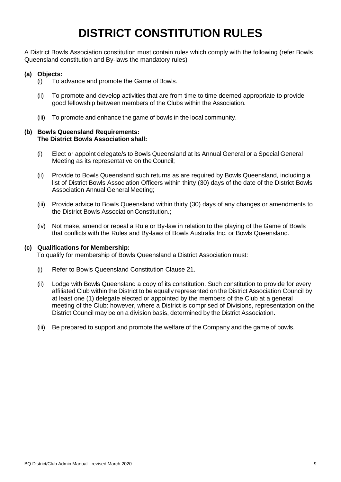# **DISTRICT CONSTITUTION RULES**

A District Bowls Association constitution must contain rules which comply with the following (refer Bowls Queensland constitution and By-laws the mandatory rules)

# **(a) Objects:**

- (i) To advance and promote the Game of Bowls.
- (ii) To promote and develop activities that are from time to time deemed appropriate to provide good fellowship between members of the Clubs within the Association.
- (iii) To promote and enhance the game of bowls in the local community.

#### **(b) Bowls Queensland Requirements: The District Bowls Association shall:**

- (i) Elect or appoint delegate/s to Bowls Queensland at its Annual General or a Special General Meeting as its representative on the Council;
- (ii) Provide to Bowls Queensland such returns as are required by Bowls Queensland, including a list of District Bowls Association Officers within thirty (30) days of the date of the District Bowls Association Annual General Meeting;
- (iii) Provide advice to Bowls Queensland within thirty (30) days of any changes or amendments to the District Bowls Association Constitution.;
- (iv) Not make, amend or repeal a Rule or By-law in relation to the playing of the Game of Bowls that conflicts with the Rules and By-laws of Bowls Australia Inc. or Bowls Queensland.

# **(c) Qualifications for Membership:**

To qualify for membership of Bowls Queensland a District Association must:

- (i) Refer to Bowls Queensland Constitution Clause 21.
- (ii) Lodge with Bowls Queensland a copy of its constitution. Such constitution to provide for every affiliated Club within the District to be equally represented on the District Association Council by at least one (1) delegate elected or appointed by the members of the Club at a general meeting of the Club: however, where a District is comprised of Divisions, representation on the District Council may be on a division basis, determined by the District Association.
- (iii) Be prepared to support and promote the welfare of the Company and the game of bowls.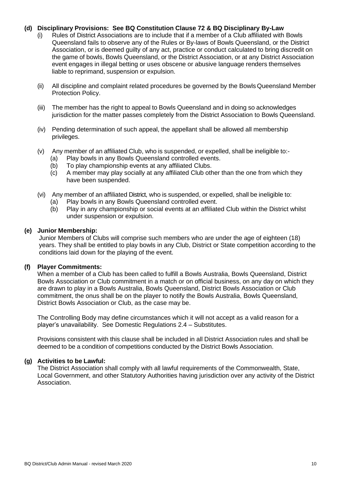#### **(d) Disciplinary Provisions: See BQ Constitution Clause 72 & BQ Disciplinary By-Law**

- (i) Rules of District Associations are to include that if a member of a Club affiliated with Bowls Queensland fails to observe any of the Rules or By-laws of Bowls Queensland, or the District Association, or is deemed guilty of any act, practice or conduct calculated to bring discredit on the game of bowls, Bowls Queensland, or the District Association, or at any District Association event engages in illegal betting or uses obscene or abusive language renders themselves liable to reprimand, suspension or expulsion.
- (ii) All discipline and complaint related procedures be governed by the Bowls Queensland Member Protection Policy.
- (iii) The member has the right to appeal to Bowls Queensland and in doing so acknowledges jurisdiction for the matter passes completely from the District Association to Bowls Queensland.
- (iv) Pending determination of such appeal, the appellant shall be allowed all membership privileges.
- (v) Any member of an affiliated Club, who is suspended, or expelled, shall be ineligible to:- (a) Play bowls in any Bowls Queensland controlled events.
	- (b) To play championship events at any affiliated Clubs.
	- (c) A member may play socially at any affiliated Club other than the one from which they have been suspended.
- (vi) Any member of an affiliated District, who is suspended, or expelled, shall be ineligible to:
	- (a) Play bowls in any Bowls Queensland controlled event.
	- (b) Play in any championship or social events at an affiliated Club within the District whilst under suspension or expulsion.

#### **(e) Junior Membership:**

Junior Members of Clubs will comprise such members who are under the age of eighteen (18) years. They shall be entitled to play bowls in any Club, District or State competition according to the conditions laid down for the playing of the event.

#### **(f) Player Commitments:**

When a member of a Club has been called to fulfill a Bowls Australia, Bowls Queensland, District Bowls Association or Club commitment in a match or on official business, on any day on which they are drawn to play in a Bowls Australia, Bowls Queensland, District Bowls Association or Club commitment, the onus shall be on the player to notify the Bowls Australia, Bowls Queensland, District Bowls Association or Club, as the case may be.

The Controlling Body may define circumstances which it will not accept as a valid reason for a player's unavailability. See Domestic Regulations 2.4 – Substitutes.

Provisions consistent with this clause shall be included in all District Association rules and shall be deemed to be a condition of competitions conducted by the District Bowls Association.

#### **(g) Activities to be Lawful:**

The District Association shall comply with all lawful requirements of the Commonwealth, State, Local Government, and other Statutory Authorities having jurisdiction over any activity of the District Association.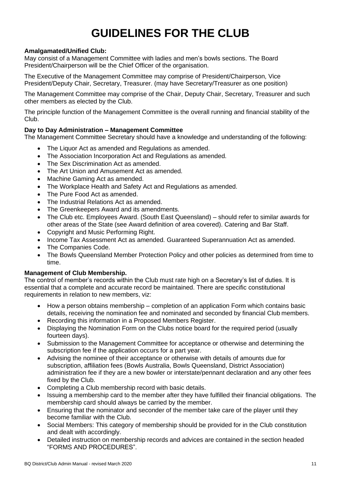# **GUIDELINES FOR THE CLUB**

# **Amalgamated/Unified Club:**

May consist of a Management Committee with ladies and men's bowls sections. The Board President/Chairperson will be the Chief Officer of the organisation.

The Executive of the Management Committee may comprise of President/Chairperson, Vice President/Deputy Chair, Secretary, Treasurer. (may have Secretary/Treasurer as one position)

The Management Committee may comprise of the Chair, Deputy Chair, Secretary, Treasurer and such other members as elected by the Club.

The principle function of the Management Committee is the overall running and financial stability of the Club.

# **Day to Day Administration – Management Committee**

The Management Committee Secretary should have a knowledge and understanding of the following:

- The Liquor Act as amended and Regulations as amended.
- The Association Incorporation Act and Regulations as amended.
- The Sex Discrimination Act as amended.
- The Art Union and Amusement Act as amended.
- Machine Gaming Act as amended.
- The Workplace Health and Safety Act and Regulations as amended.
- The Pure Food Act as amended.
- The Industrial Relations Act as amended.
- The Greenkeepers Award and its amendments.
- The Club etc. Employees Award. (South East Queensland) should refer to similar awards for other areas of the State (see Award definition of area covered). Catering and Bar Staff.
- Copyright and Music Performing Right.
- Income Tax Assessment Act as amended. Guaranteed Superannuation Act as amended.
- The Companies Code.
- The Bowls Queensland Member Protection Policy and other policies as determined from time to time.

# **Management of Club Membership.**

The control of member's records within the Club must rate high on a Secretary's list of duties. It is essential that a complete and accurate record be maintained. There are specific constitutional requirements in relation to new members, viz:

- How a person obtains membership completion of an application Form which contains basic details, receiving the nomination fee and nominated and seconded by financial Club members.
- Recording this information in a Proposed Members Register.
- Displaying the Nomination Form on the Clubs notice board for the required period (usually fourteen days).
- Submission to the Management Committee for acceptance or otherwise and determining the subscription fee if the application occurs for a part year.
- Advising the nominee of their acceptance or otherwise with details of amounts due for subscription, affiliation fees (Bowls Australia, Bowls Queensland, District Association) administration fee if they are a new bowler or interstate/pennant declaration and any other fees fixed by the Club.
- Completing a Club membership record with basic details.
- Issuing a membership card to the member after they have fulfilled their financial obligations. The membership card should always be carried by the member.
- Ensuring that the nominator and seconder of the member take care of the player until they become familiar with the Club.
- Social Members: This category of membership should be provided for in the Club constitution and dealt with accordingly.
- Detailed instruction on membership records and advices are contained in the section headed "FORMS AND PROCEDURES".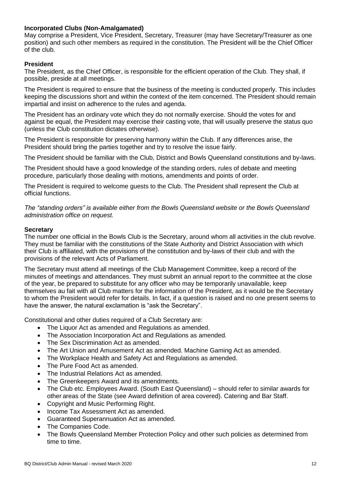# **Incorporated Clubs (Non-Amalgamated)**

May comprise a President, Vice President, Secretary, Treasurer (may have Secretary/Treasurer as one position) and such other members as required in the constitution. The President will be the Chief Officer of the club.

# **President**

The President, as the Chief Officer, is responsible for the efficient operation of the Club. They shall, if possible, preside at all meetings.

The President is required to ensure that the business of the meeting is conducted properly. This includes keeping the discussions short and within the context of the item concerned. The President should remain impartial and insist on adherence to the rules and agenda.

The President has an ordinary vote which they do not normally exercise. Should the votes for and against be equal, the President may exercise their casting vote, that will usually preserve the status quo (unless the Club constitution dictates otherwise).

The President is responsible for preserving harmony within the Club. If any differences arise, the President should bring the parties together and try to resolve the issue fairly.

The President should be familiar with the Club, District and Bowls Queensland constitutions and by-laws.

The President should have a good knowledge of the standing orders, rules of debate and meeting procedure, particularly those dealing with motions, amendments and points of order.

The President is required to welcome guests to the Club. The President shall represent the Club at official functions.

*The "standing orders" is available either from the Bowls Queensland website or the Bowls Queensland administration office on request.*

# **Secretary**

The number one official in the Bowls Club is the Secretary, around whom all activities in the club revolve. They must be familiar with the constitutions of the State Authority and District Association with which their Club is affiliated, with the provisions of the constitution and by-laws of their club and with the provisions of the relevant Acts of Parliament.

The Secretary must attend all meetings of the Club Management Committee, keep a record of the minutes of meetings and attendances. They must submit an annual report to the committee at the close of the year, be prepared to substitute for any officer who may be temporarily unavailable, keep themselves au fait with all Club matters for the information of the President, as it would be the Secretary to whom the President would refer for details. In fact, if a question is raised and no one present seems to have the answer, the natural exclamation is "ask the Secretary".

Constitutional and other duties required of a Club Secretary are:

- The Liquor Act as amended and Regulations as amended.
- The Association Incorporation Act and Regulations as amended.
- The Sex Discrimination Act as amended.
- The Art Union and Amusement Act as amended. Machine Gaming Act as amended.
- The Workplace Health and Safety Act and Regulations as amended.
- The Pure Food Act as amended.
- The Industrial Relations Act as amended.
- The Greenkeepers Award and its amendments.
- The Club etc. Employees Award. (South East Queensland) should refer to similar awards for other areas of the State (see Award definition of area covered). Catering and Bar Staff.
- Copyright and Music Performing Right.
- Income Tax Assessment Act as amended.
- Guaranteed Superannuation Act as amended.
- The Companies Code.
- The Bowls Queensland Member Protection Policy and other such policies as determined from time to time.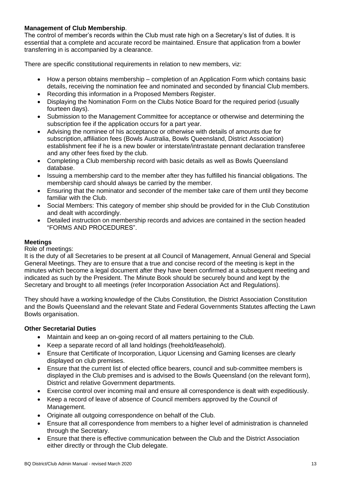# **Management of Club Membership**.

The control of member's records within the Club must rate high on a Secretary's list of duties. It is essential that a complete and accurate record be maintained. Ensure that application from a bowler transferring in is accompanied by a clearance.

There are specific constitutional requirements in relation to new members, viz:

- How a person obtains membership completion of an Application Form which contains basic details, receiving the nomination fee and nominated and seconded by financial Club members.
- Recording this information in a Proposed Members Register.
- Displaying the Nomination Form on the Clubs Notice Board for the required period (usually fourteen days).
- Submission to the Management Committee for acceptance or otherwise and determining the subscription fee if the application occurs for a part year.
- Advising the nominee of his acceptance or otherwise with details of amounts due for subscription, affiliation fees (Bowls Australia, Bowls Queensland, District Association) establishment fee if he is a new bowler or interstate/intrastate pennant declaration transferee and any other fees fixed by the club.
- Completing a Club membership record with basic details as well as Bowls Queensland database.
- Issuing a membership card to the member after they has fulfilled his financial obligations. The membership card should always be carried by the member.
- Ensuring that the nominator and seconder of the member take care of them until they become familiar with the Club.
- Social Members: This category of member ship should be provided for in the Club Constitution and dealt with accordingly.
- Detailed instruction on membership records and advices are contained in the section headed "FORMS AND PROCEDURES".

# **Meetings**

# Role of meetings:

It is the duty of all Secretaries to be present at all Council of Management, Annual General and Special General Meetings. They are to ensure that a true and concise record of the meeting is kept in the minutes which become a legal document after they have been confirmed at a subsequent meeting and indicated as such by the President. The Minute Book should be securely bound and kept by the Secretary and brought to all meetings (refer Incorporation Association Act and Regulations).

They should have a working knowledge of the Clubs Constitution, the District Association Constitution and the Bowls Queensland and the relevant State and Federal Governments Statutes affecting the Lawn Bowls organisation.

# **Other Secretarial Duties**

- Maintain and keep an on-going record of all matters pertaining to the Club.
- Keep a separate record of all land holdings (freehold/leasehold).
- Ensure that Certificate of Incorporation, Liquor Licensing and Gaming licenses are clearly displayed on club premises.
- Ensure that the current list of elected office bearers, council and sub-committee members is displayed in the Club premises and is advised to the Bowls Queensland (on the relevant form), District and relative Government departments.
- Exercise control over incoming mail and ensure all correspondence is dealt with expeditiously.
- Keep a record of leave of absence of Council members approved by the Council of Management.
- Originate all outgoing correspondence on behalf of the Club.
- Ensure that all correspondence from members to a higher level of administration is channeled through the Secretary.
- Ensure that there is effective communication between the Club and the District Association either directly or through the Club delegate.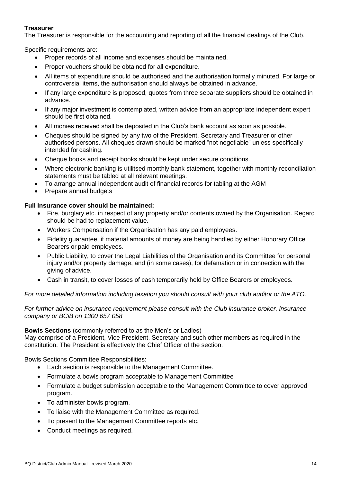# **Treasurer**

The Treasurer is responsible for the accounting and reporting of all the financial dealings of the Club.

Specific requirements are:

- Proper records of all income and expenses should be maintained.
- Proper vouchers should be obtained for all expenditure.
- All items of expenditure should be authorised and the authorisation formally minuted. For large or controversial items, the authorisation should always be obtained in advance.
- If any large expenditure is proposed, quotes from three separate suppliers should be obtained in advance.
- If any major investment is contemplated, written advice from an appropriate independent expert should be first obtained.
- All monies received shall be deposited in the Club's bank account as soon as possible.
- Cheques should be signed by any two of the President, Secretary and Treasurer or other authorised persons. All cheques drawn should be marked "not negotiable" unless specifically intended for cashing.
- Cheque books and receipt books should be kept under secure conditions.
- Where electronic banking is utilitsed monthly bank statement, together with monthly reconciliation statements must be tabled at all relevant meetings.
- To arrange annual independent audit of financial records for tabling at the AGM
- Prepare annual budgets

# **Full Insurance cover should be maintained:**

- Fire, burglary etc. in respect of any property and/or contents owned by the Organisation. Regard should be had to replacement value.
- Workers Compensation if the Organisation has any paid employees.
- Fidelity guarantee, if material amounts of money are being handled by either Honorary Office Bearers or paid employees.
- Public Liability, to cover the Legal Liabilities of the Organisation and its Committee for personal injury and/or property damage, and (in some cases), for defamation or in connection with the giving of advice.
- Cash in transit, to cover losses of cash temporarily held by Office Bearers or employees.

# *For more detailed information including taxation you should consult with your club auditor or the ATO.*

*For further advice on insurance requirement please consult with the Club insurance broker, insurance company or BCiB on 1300 657 058*

**Bowls Sections** (commonly referred to as the Men's or Ladies)

May comprise of a President, Vice President, Secretary and such other members as required in the constitution. The President is effectively the Chief Officer of the section.

Bowls Sections Committee Responsibilities:

- Each section is responsible to the Management Committee.
- Formulate a bowls program acceptable to Management Committee
- Formulate a budget submission acceptable to the Management Committee to cover approved program.
- To administer bowls program.
- To liaise with the Management Committee as required.
- To present to the Management Committee reports etc.
- Conduct meetings as required.

*.*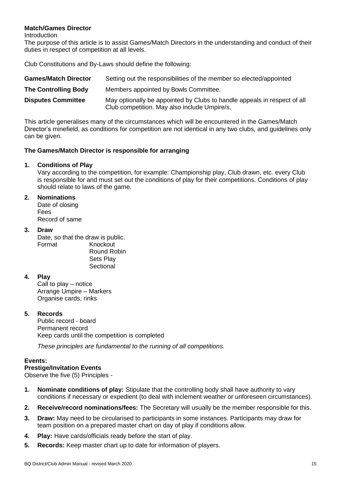# **Match/Games Director**

**Introduction** 

The purpose of this article is to assist Games/Match Directors in the understanding and conduct of their duties in respect of competition at all levels.

Club Constitutions and By-Laws should define the following:

| <b>Games/Match Director</b> | Setting out the responsibilities of the member so elected/appointed                                                      |
|-----------------------------|--------------------------------------------------------------------------------------------------------------------------|
| <b>The Controlling Body</b> | Members appointed by Bowls Committee.                                                                                    |
| <b>Disputes Committee</b>   | May optionally be appointed by Clubs to handle appeals in respect of all<br>Club competition. May also include Umpire/s. |

This article generalises many of the circumstances which will be encountered in the Games/Match Director's minefield, as conditions for competition are not identical in any two clubs, and guidelines only can be given.

# **The Games/Match Director is responsible for arranging**

# **1. Conditions of Play**

Vary according to the competition, for example: Championship play, Club drawn, etc. every Club is responsible for and must set out the conditions of play for their competitions. Conditions of play should relate to laws of the game.

# **2. Nominations**

Date of closing Fees Record of same

# **3. Draw**

Date, so that the draw is public. Format Knockout Round Robin Sets Play **Sectional** 

# **4. Play**

Call to play – notice Arrange Umpire – Markers Organise cards, rinks

# **5. Records**

Public record - board Permanent record Keep cards until the competition is completed

*These principles are fundamental to the running of all competitions.*

# **Events:**

# **Prestige/Invitation Events**

Observe the five (5) Principles -

- **1. Nominate conditions of play:** Stipulate that the controlling body shall have authority to vary conditions if necessary or expedient (to deal with inclement weather or unforeseen circumstances).
- **2. Receive/record nominations/fees:** The Secretary will usually be the member responsible for this.
- **3. Draw:** May need to be circularised to participants in some instances. Participants may draw for team position on a prepared master chart on day of play if conditions allow.
- **4. Play:** Have cards/officials ready before the start of play.
- **5. Records:** Keep master chart up to date for information of players.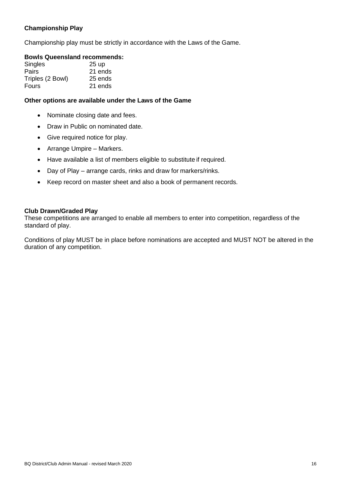# **Championship Play**

Championship play must be strictly in accordance with the Laws of the Game.

# **Bowls Queensland recommends:**

| <b>Singles</b>   | 25 <sub>up</sub> |
|------------------|------------------|
| Pairs            | 21 ends          |
| Triples (2 Bowl) | 25 ends          |
| <b>Fours</b>     | 21 ends          |

# **Other options are available under the Laws of the Game**

- Nominate closing date and fees.
- Draw in Public on nominated date.
- Give required notice for play.
- Arrange Umpire Markers.
- Have available a list of members eligible to substitute if required.
- Day of Play arrange cards, rinks and draw for markers/rinks.
- Keep record on master sheet and also a book of permanent records.

#### **Club Drawn/Graded Play**

These competitions are arranged to enable all members to enter into competition, regardless of the standard of play.

Conditions of play MUST be in place before nominations are accepted and MUST NOT be altered in the duration of any competition.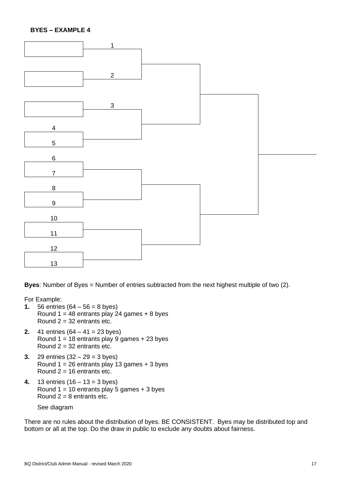#### **BYES – EXAMPLE 4**



**Byes**: Number of Byes = Number of entries subtracted from the next highest multiple of two (2).

For Example:

- **1.** 56 entries  $(64 56 = 8$  byes) Round  $1 = 48$  entrants play 24 games  $+ 8$  byes Round  $2 = 32$  entrants etc.
- **2.** 41 entries (64 41 = 23 byes) Round  $1 = 18$  entrants play 9 games  $+ 23$  byes Round  $2 = 32$  entrants etc.
- **3.** 29 entries (32 29 = 3 byes) Round  $1 = 26$  entrants play 13 games  $+3$  byes Round  $2 = 16$  entrants etc.
- **4.** 13 entries (16 13 = 3 byes) Round  $1 = 10$  entrants play 5 games  $+ 3$  byes Round  $2 = 8$  entrants etc.

See diagram

There are no rules about the distribution of byes. BE CONSISTENT. Byes may be distributed top and bottom or all at the top. Do the draw in public to exclude any doubts about fairness.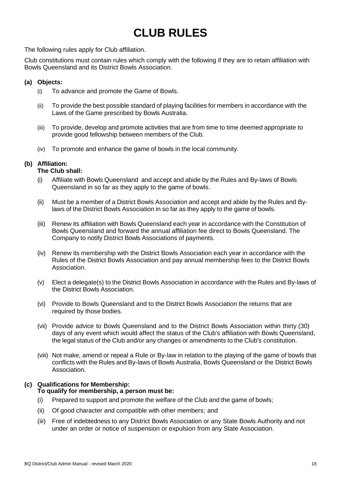# **CLUB RULES**

The following rules apply for Club affiliation.

Club constitutions must contain rules which comply with the following if they are to retain affiliation with Bowls Queensland and its District Bowls Association.

# **(a) Objects:**

- (i) To advance and promote the Game of Bowls.
- (ii) To provide the best possible standard of playing facilities for members in accordance with the Laws of the Game prescribed by Bowls Australia.
- (iii) To provide, develop and promote activities that are from time to time deemed appropriate to provide good fellowship between members of the Club.
- (iv) To promote and enhance the game of bowls in the local community.

# **(b) Affiliation:**

#### **The Club shall:**

- (i) Affiliate with Bowls Queensland and accept and abide by the Rules and By-laws of Bowls Queensland in so far as they apply to the game of bowls.
- (ii) Must be a member of a District Bowls Association and accept and abide by the Rules and Bylaws of the District Bowls Association in so far as they apply to the game of bowls.
- (iii) Renew its affiliation with Bowls Queensland each year in accordance with the Constitution of Bowls Queensland and forward the annual affiliation fee direct to Bowls Queensland. The Company to notify District Bowls Associations of payments.
- (iv) Renew its membership with the District Bowls Association each year in accordance with the Rules of the District Bowls Association and pay annual membership fees to the District Bowls Association.
- (v) Elect a delegate(s) to the District Bowls Association in accordance with the Rules and By-laws of the District Bowls Association.
- (vi) Provide to Bowls Queensland and to the District Bowls Association the returns that are required by those bodies.
- (vii) Provide advice to Bowls Queensland and to the District Bowls Association within thirty (30) days of any event which would affect the status of the Club's affiliation with Bowls Queensland, the legal status of the Club and/or any changes or amendments to the Club's constitution.
- (viii) Not make, amend or repeal a Rule or By-law in relation to the playing of the game of bowls that conflicts with the Rules and By-laws of Bowls Australia, Bowls Queensland or the District Bowls Association.

# **(c) Qualifications for Membership:**

# **To qualify for membership, a person must be:**

- (i) Prepared to support and promote the welfare of the Club and the game of bowls;
- (ii) Of good character and compatible with other members; and
- (iii) Free of indebtedness to any District Bowls Association or any State Bowls Authority and not under an order or notice of suspension or expulsion from any State Association.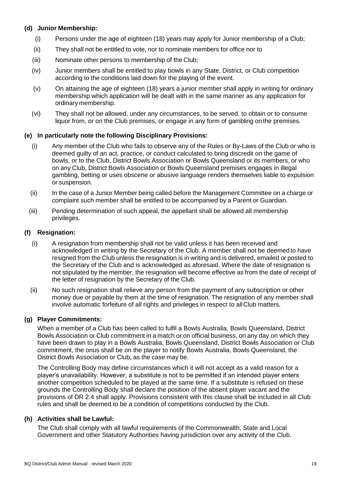# **(d) Junior Membership:**

- (i) Persons under the age of eighteen (18) years may apply for Junior membership of a Club;
- (ii) They shall not be entitled to vote, nor to nominate members for office nor to
- (iii) Nominate other persons to membership of the Club;
- (iv) Junior members shall be entitled to play bowls in any State, District, or Club competition according to the conditions laid down for the playing of the event.
- (v) On attaining the age of eighteen (18) years a junior member shall apply in writing for ordinary membership which application will be dealt with in the same manner as any application for ordinary membership.
- (vi) They shall not be allowed, under any circumstances, to be served, to obtain or to consume liquor from, or on the Club premises, or engage in any form of gambling on the premises.

#### **(e) In particularly note the following Disciplinary Provisions:**

- (i) Any member of the Club who fails to observe any of the Rules or By-Laws of the Club or who is deemed guilty of an act, practice, or conduct calculated to bring discredit on the game of bowls, or to the Club, District Bowls Association or Bowls Queensland or its members, or who on any Club, District Bowls Association or Bowls Queensland premises engages in illegal gambling, betting or uses obscene or abusive language renders themselves liable to expulsion or suspension.
- (ii) In the case of a Junior Member being called before the Management Committee on a charge or complaint such member shall be entitled to be accompanied by a Parent or Guardian.
- (iii) Pending determination of such appeal, the appellant shall be allowed all membership privileges.

#### **(f) Resignation:**

- (i) A resignation from membership shall not be valid unless it has been received and acknowledged in writing by the Secretary of the Club. A member shall not be deemed to have resigned from the Club unless the resignation is in writing and is delivered, emailed or posted to the Secretary of the Club and is acknowledged as aforesaid. Where the date of resignation is not stipulated by the member, the resignation will become effective as from the date of receipt of the letter of resignation by the Secretary of the Club.
- (ii) No such resignation shall relieve any person from the payment of any subscription or other money due or payable by them at the time of resignation. The resignation of any member shall involve automatic forfeiture of all rights and privileges in respect to allClub matters.

# **(g) Player Commitments:**

When a member of a Club has been called to fulfil a Bowls Australia, Bowls Queensland, District Bowls Association or Club commitment in a match or on official business, on any day on which they have been drawn to play in a Bowls Australia, Bowls Queensland, District Bowls Association or Club commitment, the onus shall be on the player to notify Bowls Australia, Bowls Queensland, the District Bowls Association or Club, as the case may be.

The Controlling Body may define circumstances which it will not accept as a valid reason for a player's unavailability. However, a substitute is not to be permitted if an intended player enters another competition scheduled to be played at the same time. If a substitute is refused on these grounds the Controlling Body shall declare the position of the absent player vacant and the provisions of DR 2.4 shall apply. Provisions consistent with this clause shall be included in all Club rules and shall be deemed to be a condition of competitions conducted by the Club.

# **(h) Activities shall be Lawful:**

The Club shall comply with all lawful requirements of the Commonwealth, State and Local Government and other Statutory Authorities having jurisdiction over any activity of the Club.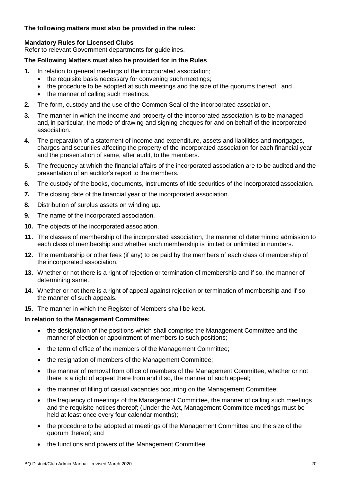# **The following matters must also be provided in the rules:**

# **Mandatory Rules for Licensed Clubs**

Refer to relevant Government departments for guidelines.

# **The Following Matters must also be provided for in the Rules**

- **1.** In relation to general meetings of the incorporated association;
	- the requisite basis necessary for convening such meetings;
	- the procedure to be adopted at such meetings and the size of the quorums thereof: and
	- the manner of calling such meetings.
- **2.** The form, custody and the use of the Common Seal of the incorporated association.
- **3.** The manner in which the income and property of the incorporated association is to be managed and, in particular, the mode of drawing and signing cheques for and on behalf of the incorporated association.
- **4.** The preparation of a statement of income and expenditure, assets and liabilities and mortgages, charges and securities affecting the property of the incorporated association for each financial year and the presentation of same, after audit, to the members.
- **5.** The frequency at which the financial affairs of the incorporated association are to be audited and the presentation of an auditor's report to the members.
- **6.** The custody of the books, documents, instruments of title securities of the incorporated association.
- **7.** The closing date of the financial year of the incorporated association.
- **8.** Distribution of surplus assets on winding up.
- **9.** The name of the incorporated association.
- **10.** The objects of the incorporated association.
- **11.** The classes of membership of the incorporated association, the manner of determining admission to each class of membership and whether such membership is limited or unlimited in numbers.
- **12.** The membership or other fees (if any) to be paid by the members of each class of membership of the incorporated association.
- **13.** Whether or not there is a right of rejection or termination of membership and if so, the manner of determining same.
- **14.** Whether or not there is a right of appeal against rejection or termination of membership and if so, the manner of such appeals.
- **15.** The manner in which the Register of Members shall be kept.

#### **In relation to the Management Committee:**

- the designation of the positions which shall comprise the Management Committee and the manner of election or appointment of members to such positions;
- the term of office of the members of the Management Committee;
- the resignation of members of the Management Committee;
- the manner of removal from office of members of the Management Committee, whether or not there is a right of appeal there from and if so, the manner of such appeal;
- the manner of filling of casual vacancies occurring on the Management Committee;
- the frequency of meetings of the Management Committee, the manner of calling such meetings and the requisite notices thereof; (Under the Act, Management Committee meetings must be held at least once every four calendar months);
- the procedure to be adopted at meetings of the Management Committee and the size of the quorum thereof; and
- the functions and powers of the Management Committee.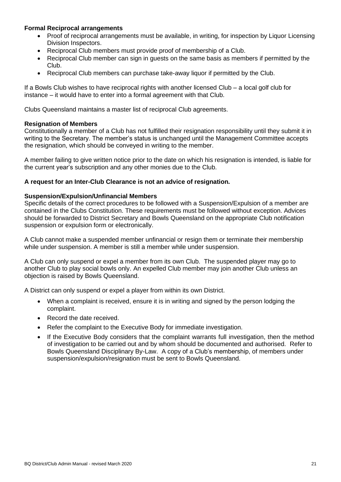# **Formal Reciprocal arrangements**

- Proof of reciprocal arrangements must be available, in writing, for inspection by Liquor Licensing Division Inspectors.
- Reciprocal Club members must provide proof of membership of a Club.
- Reciprocal Club member can sign in guests on the same basis as members if permitted by the Club.
- Reciprocal Club members can purchase take-away liquor if permitted by the Club.

If a Bowls Club wishes to have reciprocal rights with another licensed Club – a local golf club for instance – it would have to enter into a formal agreement with that Club.

Clubs Queensland maintains a master list of reciprocal Club agreements.

#### **Resignation of Members**

Constitutionally a member of a Club has not fulfilled their resignation responsibility until they submit it in writing to the Secretary. The member's status is unchanged until the Management Committee accepts the resignation, which should be conveyed in writing to the member.

A member failing to give written notice prior to the date on which his resignation is intended, is liable for the current year's subscription and any other monies due to the Club.

#### **A request for an Inter-Club Clearance is not an advice of resignation.**

#### **Suspension/Expulsion/Unfinancial Members**

Specific details of the correct procedures to be followed with a Suspension/Expulsion of a member are contained in the Clubs Constitution. These requirements must be followed without exception. Advices should be forwarded to District Secretary and Bowls Queensland on the appropriate Club notification suspension or expulsion form or electronically.

A Club cannot make a suspended member unfinancial or resign them or terminate their membership while under suspension. A member is still a member while under suspension.

A Club can only suspend or expel a member from its own Club. The suspended player may go to another Club to play social bowls only. An expelled Club member may join another Club unless an objection is raised by Bowls Queensland.

A District can only suspend or expel a player from within its own District.

- When a complaint is received, ensure it is in writing and signed by the person lodging the complaint.
- Record the date received.
- Refer the complaint to the Executive Body for immediate investigation.
- If the Executive Body considers that the complaint warrants full investigation, then the method of investigation to be carried out and by whom should be documented and authorised. Refer to Bowls Queensland Disciplinary By-Law. A copy of a Club's membership, of members under suspension/expulsion/resignation must be sent to Bowls Queensland.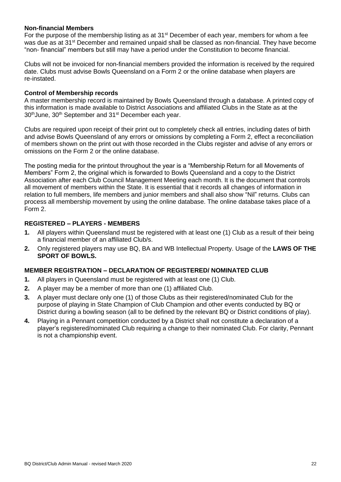# **Non-financial Members**

For the purpose of the membership listing as at  $31<sup>st</sup>$  December of each year, members for whom a fee was due as at 31<sup>st</sup> December and remained unpaid shall be classed as non-financial. They have become "non- financial" members but still may have a period under the Constitution to become financial.

Clubs will not be invoiced for non-financial members provided the information is received by the required date. Clubs must advise Bowls Queensland on a Form 2 or the online database when players are re-instated.

#### **Control of Membership records**

A master membership record is maintained by Bowls Queensland through a database. A printed copy of this information is made available to District Associations and affiliated Clubs in the State as at the 30<sup>th</sup> June, 30<sup>th</sup> September and 31<sup>st</sup> December each year.

Clubs are required upon receipt of their print out to completely check all entries, including dates of birth and advise Bowls Queensland of any errors or omissions by completing a Form 2, effect a reconciliation of members shown on the print out with those recorded in the Clubs register and advise of any errors or omissions on the Form 2 or the online database.

The posting media for the printout throughout the year is a "Membership Return for all Movements of Members" Form 2, the original which is forwarded to Bowls Queensland and a copy to the District Association after each Club Council Management Meeting each month. It is the document that controls all movement of members within the State. It is essential that it records all changes of information in relation to full members, life members and junior members and shall also show "Nil" returns. Clubs can process all membership movement by using the online database. The online database takes place of a Form 2.

#### **REGISTERED – PLAYERS - MEMBERS**

- **1.** All players within Queensland must be registered with at least one (1) Club as a result of their being a financial member of an affiliated Club/s.
- **2.** Only registered players may use BQ, BA and WB Intellectual Property. Usage of the **LAWS OF THE SPORT OF BOWLS.**

# **MEMBER REGISTRATION – DECLARATION OF REGISTERED/ NOMINATED CLUB**

- **1.** All players in Queensland must be registered with at least one (1) Club.
- **2.** A player may be a member of more than one (1) affiliated Club.
- **3.** A player must declare only one (1) of those Clubs as their registered/nominated Club for the purpose of playing in State Champion of Club Champion and other events conducted by BQ or District during a bowling season (all to be defined by the relevant BQ or District conditions of play).
- **4.** Playing in a Pennant competition conducted by a District shall not constitute a declaration of a player's registered/nominated Club requiring a change to their nominated Club. For clarity, Pennant is not a championship event.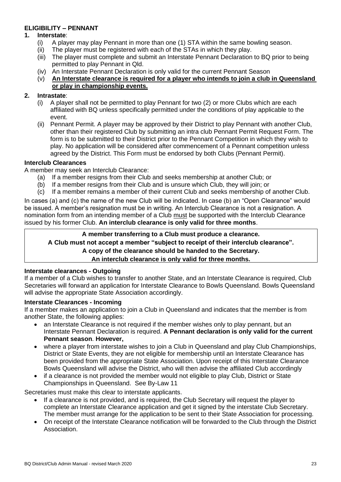# **ELIGIBILITY – PENNANT**

#### **1. Interstate**:

- (i) A player may play Pennant in more than one (1) STA within the same bowling season.
- (ii) The player must be registered with each of the STAs in which they play.
- (iii) The player must complete and submit an Interstate Pennant Declaration to BQ prior to being permitted to play Pennant in Qld.
- (iv) An Interstate Pennant Declaration is only valid for the current Pennant Season
- (v) **An Interstate clearance is required for a player who intends to join a club in Queensland or play in championship events.**

# **2. Intrastate**:

- (i) A player shall not be permitted to play Pennant for two (2) or more Clubs which are each affiliated with BQ unless specifically permitted under the conditions of play applicable to the event.
- (ii) Pennant Permit. A player may be approved by their District to play Pennant with another Club, other than their registered Club by submitting an intra club Pennant Permit Request Form. The form is to be submitted to their District prior to the Pennant Competition in which they wish to play. No application will be considered after commencement of a Pennant competition unless agreed by the District. This Form must be endorsed by both Clubs (Pennant Permit).

#### **Interclub Clearances**

A member may seek an Interclub Clearance:

- (a) If a member resigns from their Club and seeks membership at another Club; or
- (b) If a member resigns from their Club and is unsure which Club, they will join; or
- (c) If a member remains a member of their current Club and seeks membership of another Club.

In cases (a) and (c) the name of the new Club will be indicated. In case (b) an "Open Clearance" would be issued. A member's resignation must be in writing. An Interclub Clearance is not a resignation. A nomination form from an intending member of a Club must be supported with the Interclub Clearance issued by his former Club. **An interclub clearance is only valid for three months**.

# **A member transferring to a Club must produce a clearance.**

**A Club must not accept a member "subject to receipt of their interclub clearance".** 

# **A copy of the clearance should be handed to the Secretary.**

#### **An interclub clearance is only valid for three months.**

# **Interstate clearances - Outgoing**

If a member of a Club wishes to transfer to another State, and an Interstate Clearance is required, Club Secretaries will forward an application for Interstate Clearance to Bowls Queensland. Bowls Queensland will advise the appropriate State Association accordingly.

# **Interstate Clearances - Incoming**

If a member makes an application to join a Club in Queensland and indicates that the member is from another State, the following applies:

- an Interstate Clearance is not required if the member wishes only to play pennant, but an Interstate Pennant Declaration is required. **A Pennant declaration is only valid for the current Pennant season**. **However,**
- where a player from interstate wishes to join a Club in Queensland and play Club Championships, District or State Events, they are not eligible for membership until an Interstate Clearance has been provided from the appropriate State Association. Upon receipt of this Interstate Clearance Bowls Queensland will advise the District, who will then advise the affiliated Club accordingly
- if a clearance is not provided the member would not eligible to play Club, District or State Championships in Queensland. See By-Law 11

Secretaries must make this clear to interstate applicants.

- If a clearance is not provided, and is required, the Club Secretary will request the player to complete an Interstate Clearance application and get it signed by the interstate Club Secretary. The member must arrange for the application to be sent to their State Association for processing.
- On receipt of the Interstate Clearance notification will be forwarded to the Club through the District Association.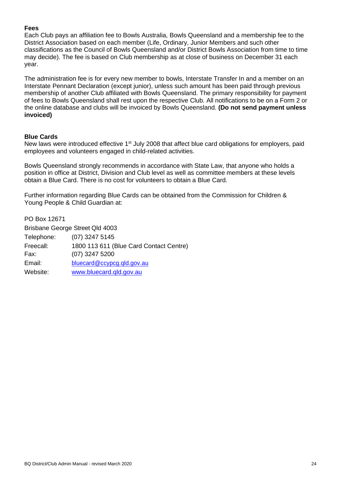# **Fees**

Each Club pays an affiliation fee to Bowls Australia, Bowls Queensland and a membership fee to the District Association based on each member (Life, Ordinary, Junior Members and such other classifications as the Council of Bowls Queensland and/or District Bowls Association from time to time may decide). The fee is based on Club membership as at close of business on December 31 each year.

The administration fee is for every new member to bowls, Interstate Transfer In and a member on an Interstate Pennant Declaration (except junior), unless such amount has been paid through previous membership of another Club affiliated with Bowls Queensland. The primary responsibility for payment of fees to Bowls Queensland shall rest upon the respective Club. All notifications to be on a Form 2 or the online database and clubs will be invoiced by Bowls Queensland. **(Do not send payment unless invoiced)**

# **Blue Cards**

New laws were introduced effective 1<sup>st</sup> July 2008 that affect blue card obligations for employers, paid employees and volunteers engaged in child-related activities.

Bowls Queensland strongly recommends in accordance with State Law, that anyone who holds a position in office at District, Division and Club level as well as committee members at these levels obtain a Blue Card. There is no cost for volunteers to obtain a Blue Card.

Further information regarding Blue Cards can be obtained from the Commission for Children & Young People & Child Guardian at:

PO Box 12671 Brisbane George Street Qld 4003 Telephone: (07) 3247 5145 Freecall: 1800 113 611 (Blue Card Contact Centre) Fax: (07) 3247 5200 Email: [bluecard@ccypcg.qld.gov.au](mailto:bluecard@ccypcg.qld.gov.au) Website: [www.bluecard.qld.gov.au](http://www.bluecard.qld.gov.au/)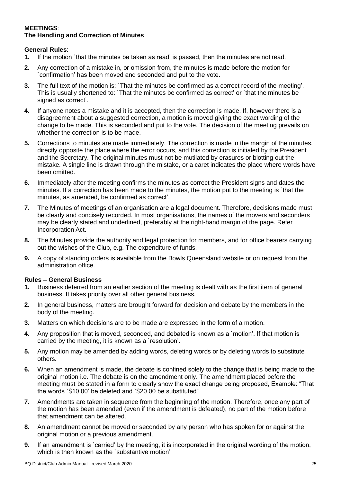# **MEETINGS**: **The Handling and Correction of Minutes**

# **General Rules**:

- **1.** If the motion `that the minutes be taken as read' is passed, then the minutes are not read.
- **2.** Any correction of a mistake in, or omission from, the minutes is made before the motion for `confirmation' has been moved and seconded and put to the vote.
- **3.** The full text of the motion is: `That the minutes be confirmed as a correct record of the meeting'. This is usually shortened to: `That the minutes be confirmed as correct' or `that the minutes be signed as correct'.
- **4.** If anyone notes a mistake and it is accepted, then the correction is made. If, however there is a disagreement about a suggested correction, a motion is moved giving the exact wording of the change to be made. This is seconded and put to the vote. The decision of the meeting prevails on whether the correction is to be made.
- **5.** Corrections to minutes are made immediately. The correction is made in the margin of the minutes, directly opposite the place where the error occurs, and this correction is initialed by the President and the Secretary. The original minutes must not be mutilated by erasures or blotting out the mistake. A single line is drawn through the mistake, or a caret indicates the place where words have been omitted.
- **6.** Immediately after the meeting confirms the minutes as correct the President signs and dates the minutes. If a correction has been made to the minutes, the motion put to the meeting is `that the minutes, as amended, be confirmed as correct'.
- **7.** The Minutes of meetings of an organisation are a legal document. Therefore, decisions made must be clearly and concisely recorded. In most organisations, the names of the movers and seconders may be clearly stated and underlined, preferably at the right-hand margin of the page. Refer Incorporation Act.
- **8.** The Minutes provide the authority and legal protection for members, and for office bearers carrying out the wishes of the Club, e.g. The expenditure of funds.
- **9.** A copy of standing orders is available from the Bowls Queensland website or on request from the administration office.

# **Rules – General Business**

- **1.** Business deferred from an earlier section of the meeting is dealt with as the first item of general business. It takes priority over all other general business.
- **2.** In general business, matters are brought forward for decision and debate by the members in the body of the meeting.
- **3.** Matters on which decisions are to be made are expressed in the form of a motion.
- **4.** Any proposition that is moved, seconded, and debated is known as a `motion'. If that motion is carried by the meeting, it is known as a `resolution'.
- **5.** Any motion may be amended by adding words, deleting words or by deleting words to substitute others.
- **6.** When an amendment is made, the debate is confined solely to the change that is being made to the original motion i.e. The debate is on the amendment only. The amendment placed before the meeting must be stated in a form to clearly show the exact change being proposed, Example: "That the words `\$10.00' be deleted and `\$20.00 be substituted"
- **7.** Amendments are taken in sequence from the beginning of the motion. Therefore, once any part of the motion has been amended (even if the amendment is defeated), no part of the motion before that amendment can be altered.
- **8.** An amendment cannot be moved or seconded by any person who has spoken for or against the original motion or a previous amendment.
- **9.** If an amendment is `carried' by the meeting, it is incorporated in the original wording of the motion, which is then known as the `substantive motion'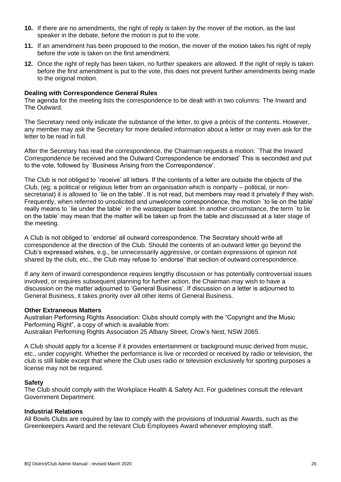- **10.** If there are no amendments, the right of reply is taken by the mover of the motion, as the last speaker in the debate, before the motion is put to the vote.
- **11.** If an amendment has been proposed to the motion, the mover of the motion takes his right of reply before the vote is taken on the first amendment.
- **12.** Once the right of reply has been taken, no further speakers are allowed. If the right of reply is taken before the first amendment is put to the vote, this does not prevent further amendments being made to the original motion.

#### **Dealing with Correspondence General Rules**

The agenda for the meeting lists the correspondence to be dealt with in two columns: The Inward and The Outward.

The Secretary need only indicate the substance of the letter, to give a précis of the contents. However, any member may ask the Secretary for more detailed information about a letter or may even ask for the letter to be read in full.

After the Secretary has read the correspondence, the Chairman requests a motion: `That the Inward Correspondence be received and the Outward Correspondence be endorsed' This is seconded and put to the vote, followed by `Business Arising from the Correspondence'.

The Club is not obliged to `receive' all letters. If the contents of a letter are outside the objects of the Club, (eg; a political or religious letter from an organisation which is nonparty – political, or nonsecretariat) it is allowed to `lie on the table'. It is not read, but members may read it privately if they wish. Frequently, when referred to unsolicited and unwelcome correspondence, the motion `to lie on the table' really means to `lie under the table' in the wastepaper basket. In another circumstance, the term `to lie on the table' may mean that the matter will be taken up from the table and discussed at a later stage of the meeting.

A Club is not obliged to `endorse' all outward correspondence. The Secretary should write all correspondence at the direction of the Club. Should the contents of an outward letter go beyond the Club's expressed wishes, e.g., be unnecessarily aggressive, or contain expressions of opinion not shared by the club, etc., the Club may refuse to `endorse' that section of outward correspondence.

If any item of inward correspondence requires lengthy discussion or has potentially controversial issues involved, or requires subsequent planning for further action, the Chairman may wish to have a discussion on the matter adjourned to 'General Business'. If discussion on a letter is adjourned to General Business, it takes priority over all other items of General Business.

#### **Other Extraneous Matters**

Australian Performing Rights Association: Clubs should comply with the "Copyright and the Music Performing Right", a copy of which is available from: Australian Performing Rights Association 25 Albany Street, Crow's Nest, NSW 2065.

A Club should apply for a license if it provides entertainment or background music derived from music, etc., under copyright. Whether the performance is live or recorded or received by radio or television, the club is still liable except that where the Club uses radio or television exclusively for sporting purposes a license may not be required.

#### **Safety**

The Club should comply with the Workplace Health & Safety Act. For guidelines consult the relevant Government Department.

#### **Industrial Relations**

All Bowls Clubs are required by law to comply with the provisions of Industrial Awards, such as the Greenkeepers Award and the relevant Club Employees Award whenever employing staff.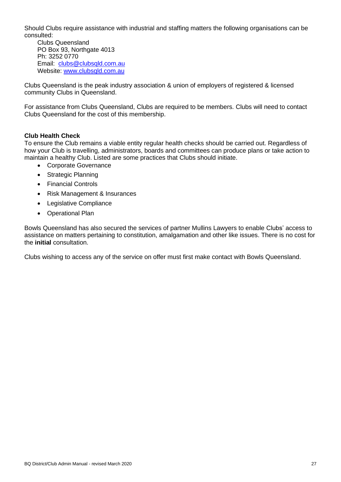Should Clubs require assistance with industrial and staffing matters the following organisations can be consulted:

Clubs Queensland PO Box 93, Northgate 4013 Ph: 3252 0770 Email: [clubs@clubsqld.com.au](mailto:clubs@clubsqld.com.au) Website: [www.clubsqld.com.au](http://www.clubsqld.com.au/)

Clubs Queensland is the peak industry association & union of employers of registered & licensed community Clubs in Queensland.

For assistance from Clubs Queensland, Clubs are required to be members. Clubs will need to contact Clubs Queensland for the cost of this membership.

# **Club Health Check**

To ensure the Club remains a viable entity regular health checks should be carried out. Regardless of how your Club is travelling, administrators, boards and committees can produce plans or take action to maintain a healthy Club. Listed are some practices that Clubs should initiate.

- Corporate Governance
- Strategic Planning
- Financial Controls
- Risk Management & Insurances
- Legislative Compliance
- Operational Plan

Bowls Queensland has also secured the services of partner Mullins Lawyers to enable Clubs' access to assistance on matters pertaining to constitution, amalgamation and other like issues. There is no cost for the **initial** consultation.

Clubs wishing to access any of the service on offer must first make contact with Bowls Queensland.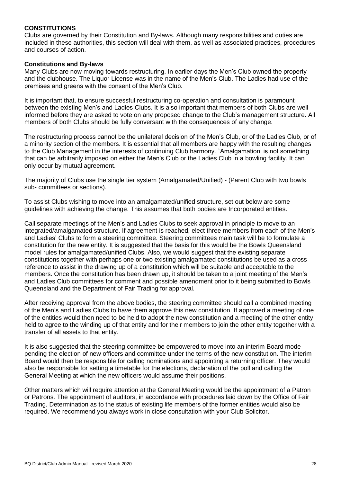#### **CONSTITUTIONS**

Clubs are governed by their Constitution and By-laws. Although many responsibilities and duties are included in these authorities, this section will deal with them, as well as associated practices, procedures and courses of action.

#### **Constitutions and By-laws**

Many Clubs are now moving towards restructuring. In earlier days the Men's Club owned the property and the clubhouse. The Liquor License was in the name of the Men's Club. The Ladies had use of the premises and greens with the consent of the Men's Club.

It is important that, to ensure successful restructuring co-operation and consultation is paramount between the existing Men's and Ladies Clubs. It is also important that members of both Clubs are well informed before they are asked to vote on any proposed change to the Club's management structure. All members of both Clubs should be fully conversant with the consequences of any change.

The restructuring process cannot be the unilateral decision of the Men's Club, or of the Ladies Club, or of a minority section of the members. It is essential that all members are happy with the resulting changes to the Club Management in the interests of continuing Club harmony. `Amalgamation' is not something that can be arbitrarily imposed on either the Men's Club or the Ladies Club in a bowling facility. It can only occur by mutual agreement.

The majority of Clubs use the single tier system (Amalgamated/Unified) - (Parent Club with two bowls sub- committees or sections).

To assist Clubs wishing to move into an amalgamated/unified structure, set out below are some guidelines with achieving the change. This assumes that both bodies are Incorporated entities.

Call separate meetings of the Men's and Ladies Clubs to seek approval in principle to move to an integrated/amalgamated structure. If agreement is reached, elect three members from each of the Men's and Ladies' Clubs to form a steering committee. Steering committees main task will be to formulate a constitution for the new entity. It is suggested that the basis for this would be the Bowls Queensland model rules for amalgamated/unified Clubs. Also, we would suggest that the existing separate constitutions together with perhaps one or two existing amalgamated constitutions be used as a cross reference to assist in the drawing up of a constitution which will be suitable and acceptable to the members. Once the constitution has been drawn up, it should be taken to a joint meeting of the Men's and Ladies Club committees for comment and possible amendment prior to it being submitted to Bowls Queensland and the Department of Fair Trading for approval.

After receiving approval from the above bodies, the steering committee should call a combined meeting of the Men's and Ladies Clubs to have them approve this new constitution. If approved a meeting of one of the entities would then need to be held to adopt the new constitution and a meeting of the other entity held to agree to the winding up of that entity and for their members to join the other entity together with a transfer of all assets to that entity.

It is also suggested that the steering committee be empowered to move into an interim Board mode pending the election of new officers and committee under the terms of the new constitution. The interim Board would then be responsible for calling nominations and appointing a returning officer. They would also be responsible for setting a timetable for the elections, declaration of the poll and calling the General Meeting at which the new officers would assume their positions.

Other matters which will require attention at the General Meeting would be the appointment of a Patron or Patrons. The appointment of auditors, in accordance with procedures laid down by the Office of Fair Trading. Determination as to the status of existing life members of the former entities would also be required. We recommend you always work in close consultation with your Club Solicitor.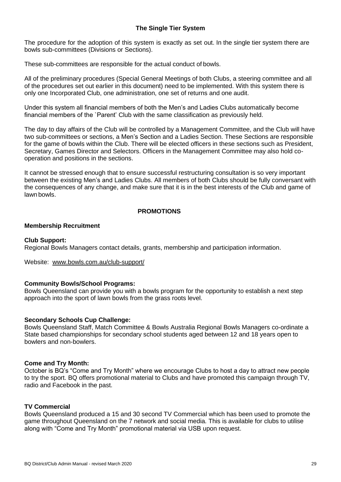# **The Single Tier System**

The procedure for the adoption of this system is exactly as set out. In the single tier system there are bowls sub-committees (Divisions or Sections).

These sub-committees are responsible for the actual conduct of bowls.

All of the preliminary procedures (Special General Meetings of both Clubs, a steering committee and all of the procedures set out earlier in this document) need to be implemented. With this system there is only one Incorporated Club, one administration, one set of returns and one audit.

Under this system all financial members of both the Men's and Ladies Clubs automatically become financial members of the `Parent' Club with the same classification as previously held.

The day to day affairs of the Club will be controlled by a Management Committee, and the Club will have two sub-committees or sections, a Men's Section and a Ladies Section. These Sections are responsible for the game of bowls within the Club. There will be elected officers in these sections such as President, Secretary, Games Director and Selectors. Officers in the Management Committee may also hold cooperation and positions in the sections.

It cannot be stressed enough that to ensure successful restructuring consultation is so very important between the existing Men's and Ladies Clubs. All members of both Clubs should be fully conversant with the consequences of any change, and make sure that it is in the best interests of the Club and game of lawn bowls.

#### **PROMOTIONS**

#### **Membership Recruitment**

#### **Club Support:**

Regional Bowls Managers contact details, grants, membership and participation information.

Website: [www.bowls.com.au/club-support/](http://www.bowls.com.au/club-support/)

#### **Community Bowls/School Programs:**

Bowls Queensland can provide you with a bowls program for the opportunity to establish a next step approach into the sport of lawn bowls from the grass roots level.

#### **Secondary Schools Cup Challenge:**

Bowls Queensland Staff, Match Committee & Bowls Australia Regional Bowls Managers co-ordinate a State based championships for secondary school students aged between 12 and 18 years open to bowlers and non-bowlers.

#### **Come and Try Month:**

October is BQ's "Come and Try Month" where we encourage Clubs to host a day to attract new people to try the sport. BQ offers promotional material to Clubs and have promoted this campaign through TV, radio and Facebook in the past.

#### **TV Commercial**

Bowls Queensland produced a 15 and 30 second TV Commercial which has been used to promote the game throughout Queensland on the 7 network and social media. This is available for clubs to utilise along with "Come and Try Month" promotional material via USB upon request.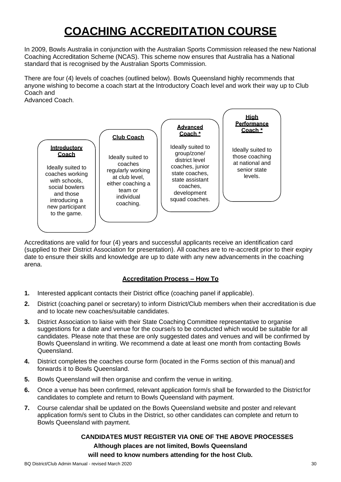# **COACHING ACCREDITATION COURSE**

In 2009, Bowls Australia in conjunction with the Australian Sports Commission released the new National Coaching Accreditation Scheme (NCAS). This scheme now ensures that Australia has a National standard that is recognised by the Australian Sports Commission.

There are four (4) levels of coaches (outlined below). Bowls Queensland highly recommends that anyone wishing to become a coach start at the Introductory Coach level and work their way up to Club Coach and

Advanced Coach.



Accreditations are valid for four (4) years and successful applicants receive an identification card (supplied to their District Association for presentation). All coaches are to re-accredit prior to their expiry date to ensure their skills and knowledge are up to date with any new advancements in the coaching arena.

# **Accreditation Process – How To**

- **1.** Interested applicant contacts their District office (coaching panel if applicable).
- **2.** District (coaching panel or secretary) to inform District/Club members when their accreditation is due and to locate new coaches/suitable candidates.
- **3.** District Association to liaise with their State Coaching Committee representative to organise suggestions for a date and venue for the course/s to be conducted which would be suitable for all candidates. Please note that these are only suggested dates and venues and will be confirmed by Bowls Queensland in writing. We recommend a date at least one month from contacting Bowls Queensland.
- **4.** District completes the coaches course form (located in the Forms section of this manual) and forwards it to Bowls Queensland.
- **5.** Bowls Queensland will then organise and confirm the venue in writing.
- **6.** Once a venue has been confirmed, relevant application form/s shall be forwarded to the Districtfor candidates to complete and return to Bowls Queensland with payment.
- **7.** Course calendar shall be updated on the Bowls Queensland website and poster and relevant application form/s sent to Clubs in the District, so other candidates can complete and return to Bowls Queensland with payment.

# **CANDIDATES MUST REGISTER VIA ONE OF THE ABOVE PROCESSES Although places are not limited, Bowls Queensland will need to know numbers attending for the host Club.**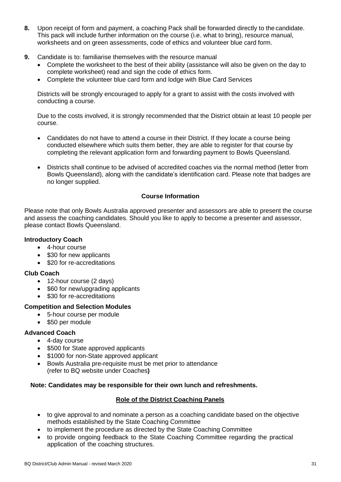- **8.** Upon receipt of form and payment, a coaching Pack shall be forwarded directly to the candidate. This pack will include further information on the course (i.e. what to bring), resource manual, worksheets and on green assessments, code of ethics and volunteer blue card form.
- **9.** Candidate is to: familiarise themselves with the resource manual
	- Complete the worksheet to the best of their ability (assistance will also be given on the day to complete worksheet) read and sign the code of ethics form.
	- Complete the volunteer blue card form and lodge with Blue Card Services

Districts will be strongly encouraged to apply for a grant to assist with the costs involved with conducting a course.

Due to the costs involved, it is strongly recommended that the District obtain at least 10 people per course.

- Candidates do not have to attend a course in their District. If they locate a course being conducted elsewhere which suits them better, they are able to register for that course by completing the relevant application form and forwarding payment to Bowls Queensland.
- Districts shall continue to be advised of accredited coaches via the normal method (letter from Bowls Queensland), along with the candidate's identification card. Please note that badges are no longer supplied.

# **Course Information**

Please note that only Bowls Australia approved presenter and assessors are able to present the course and assess the coaching candidates. Should you like to apply to become a presenter and assessor, please contact Bowls Queensland.

# **Introductory Coach**

- 4-hour course
- \$30 for new applicants
- \$20 for re-accreditations

# **Club Coach**

- 12-hour course (2 days)
- \$60 for new/upgrading applicants
- \$30 for re-accreditations

# **Competition and Selection Modules**

- 5-hour course per module
- \$50 per module

# **Advanced Coach**

- 4-day course
- \$500 for State approved applicants
- \$1000 for non-State approved applicant
- Bowls Australia pre-requisite must be met prior to attendance (refer to BQ website under Coaches**)**

# **Note: Candidates may be responsible for their own lunch and refreshments.**

# **Role of the District Coaching Panels**

- to give approval to and nominate a person as a coaching candidate based on the objective methods established by the State Coaching Committee
- to implement the procedure as directed by the State Coaching Committee
- to provide ongoing feedback to the State Coaching Committee regarding the practical application of the coaching structures.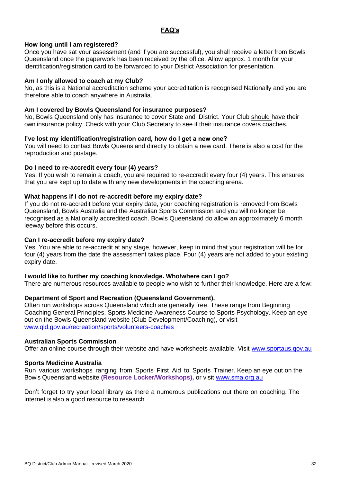# **FAQ's**

#### **How long until I am registered?**

Once you have sat your assessment (and if you are successful), you shall receive a letter from Bowls Queensland once the paperwork has been received by the office. Allow approx. 1 month for your identification/registration card to be forwarded to your District Association for presentation.

#### **Am I only allowed to coach at my Club?**

No, as this is a National accreditation scheme your accreditation is recognised Nationally and you are therefore able to coach anywhere in Australia.

#### **Am I covered by Bowls Queensland for insurance purposes?**

No, Bowls Queensland only has insurance to cover State and District. Your Club should have their own insurance policy. Check with your Club Secretary to see if their insurance covers coaches.

#### **I've lost my identification/registration card, how do I get a new one?**

You will need to contact Bowls Queensland directly to obtain a new card. There is also a cost for the reproduction and postage.

#### **Do I need to re-accredit every four (4) years?**

Yes. If you wish to remain a coach, you are required to re-accredit every four (4) years. This ensures that you are kept up to date with any new developments in the coaching arena.

#### **What happens if I do not re-accredit before my expiry date?**

If you do not re-accredit before your expiry date, your coaching registration is removed from Bowls Queensland, Bowls Australia and the Australian Sports Commission and you will no longer be recognised as a Nationally accredited coach. Bowls Queensland do allow an approximately 6 month leeway before this occurs.

#### **Can I re-accredit before my expiry date?**

Yes. You are able to re-accredit at any stage, however, keep in mind that your registration will be for four (4) years from the date the assessment takes place. Four (4) years are not added to your existing expiry date.

#### **I would like to further my coaching knowledge. Who/where can I go?**

There are numerous resources available to people who wish to further their knowledge. Here are a few:

# **Department of Sport and Recreation (Queensland Government).**

Often run workshops across Queensland which are generally free. These range from Beginning Coaching General Principles, Sports Medicine Awareness Course to Sports Psychology. Keep an eye out on the Bowls Queensland website (Club Development/Coaching), or visit [www.qld.gov.au/recreation/sports/volunteers-coaches](http://www.qld.gov.au/recreation/sports/volunteers-coaches)

#### **Australian Sports Commission**

Offer an online course through their website and have worksheets available. Visit [www.sportaus.qov.au](http://www.sportaus.qov.au/)

#### **Sports Medicine Australia**

Run various workshops ranging from Sports First Aid to Sports Trainer. Keep an eye out on the Bowls Queensland website **(Resource Locker/Workshops),** or visit [www.sma.org.au](http://www.sma.org.au/)

Don't forget to try your local library as there a numerous publications out there on coaching. The internet is also a good resource to research.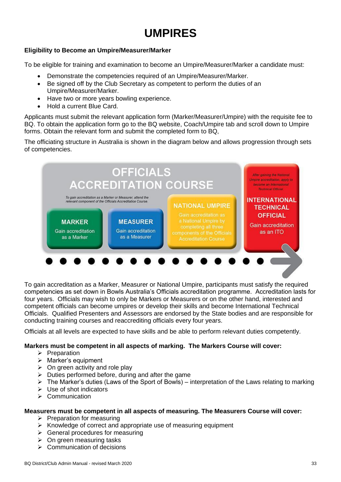# **UMPIRES**

# **Eligibility to Become an Umpire/Measurer/Marker**

To be eligible for training and examination to become an Umpire/Measurer/Marker a candidate must:

- Demonstrate the competencies required of an Umpire/Measurer/Marker.
- Be signed off by the Club Secretary as competent to perform the duties of an Umpire/Measurer/Marker.
- Have two or more years bowling experience.
- Hold a current Blue Card.

Applicants must submit the relevant application form (Marker/Measurer/Umpire) with the requisite fee to BQ. To obtain the application form go to the BQ website, Coach/Umpire tab and scroll down to Umpire forms. Obtain the relevant form and submit the completed form to BQ,

The officiating structure in Australia is shown in the diagram below and allows progression through sets of competencies.



To gain accreditation as a Marker, Measurer or National Umpire, participants must satisfy the required competencies as set down in Bowls Australia's Officials accreditation programme. Accreditation lasts for four years. Officials may wish to only be Markers or Measurers or on the other hand, interested and competent officials can become umpires or develop their skills and become International Technical Officials. Qualified Presenters and Assessors are endorsed by the State bodies and are responsible for conducting training courses and reaccrediting officials every four years.

Officials at all levels are expected to have skills and be able to perform relevant duties competently.

# **Markers must be competent in all aspects of marking. The Markers Course will cover:**

- ➢ Preparation
- ➢ Marker's equipment
- $\triangleright$  On green activity and role play
- $\triangleright$  Duties performed before, during and after the game
- $\triangleright$  The Marker's duties (Laws of the Sport of Bowls) interpretation of the Laws relating to marking
- $\triangleright$  Use of shot indicators
- ➢ Communication

# **Measurers must be competent in all aspects of measuring. The Measurers Course will cover:**

- ➢ Preparation for measuring
- ➢ Knowledge of correct and appropriate use of measuring equipment
- $\triangleright$  General procedures for measuring
- $\triangleright$  On green measuring tasks
- ➢ Communication of decisions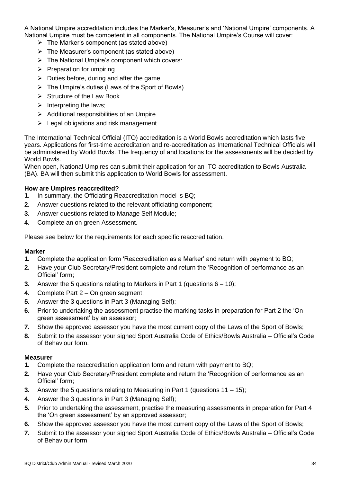A National Umpire accreditation includes the Marker's, Measurer's and 'National Umpire' components. A National Umpire must be competent in all components. The National Umpire's Course will cover:

- $\triangleright$  The Marker's component (as stated above)
- $\triangleright$  The Measurer's component (as stated above)
- ➢ The National Umpire's component which covers:
- $\triangleright$  Preparation for umpiring
- $\triangleright$  Duties before, during and after the game
- ➢ The Umpire's duties (Laws of the Sport of Bowls)
- ➢ Structure of the Law Book
- $\triangleright$  Interpreting the laws;
- $\triangleright$  Additional responsibilities of an Umpire
- $\triangleright$  Legal obligations and risk management

The International Technical Official (ITO) accreditation is a World Bowls accreditation which lasts five years. Applications for first-time accreditation and re-accreditation as International Technical Officials will be administered by World Bowls. The frequency of and locations for the assessments will be decided by World Bowls.

When open, National Umpires can submit their application for an ITO accreditation to Bowls Australia (BA). BA will then submit this application to World Bowls for assessment.

# **How are Umpires reaccredited?**

- **1.** In summary, the Officiating Reaccreditation model is BQ;
- **2.** Answer questions related to the relevant officiating component;
- **3.** Answer questions related to Manage Self Module;
- **4.** Complete an on green Assessment.

Please see below for the requirements for each specific reaccreditation.

# **Marker**

- **1.** Complete the application form 'Reaccreditation as a Marker' and return with payment to BQ;
- **2.** Have your Club Secretary/President complete and return the 'Recognition of performance as an Official' form;
- **3.** Answer the 5 questions relating to Markers in Part 1 (questions 6 10);
- **4.** Complete Part 2 On green segment;
- **5.** Answer the 3 questions in Part 3 (Managing Self);
- **6.** Prior to undertaking the assessment practise the marking tasks in preparation for Part 2 the 'On green assessment' by an assessor;
- **7.** Show the approved assessor you have the most current copy of the Laws of the Sport of Bowls;
- **8.** Submit to the assessor your signed Sport Australia Code of Ethics/Bowls Australia Official's Code of Behaviour form.

# **Measurer**

- **1.** Complete the reaccreditation application form and return with payment to BQ;
- **2.** Have your Club Secretary/President complete and return the 'Recognition of performance as an Official' form;
- **3.** Answer the 5 questions relating to Measuring in Part 1 (questions 11 15);
- **4.** Answer the 3 questions in Part 3 (Managing Self);
- **5.** Prior to undertaking the assessment, practise the measuring assessments in preparation for Part 4 the 'On green assessment' by an approved assessor;
- **6.** Show the approved assessor you have the most current copy of the Laws of the Sport of Bowls;
- **7.** Submit to the assessor your signed Sport Australia Code of Ethics/Bowls Australia Official's Code of Behaviour form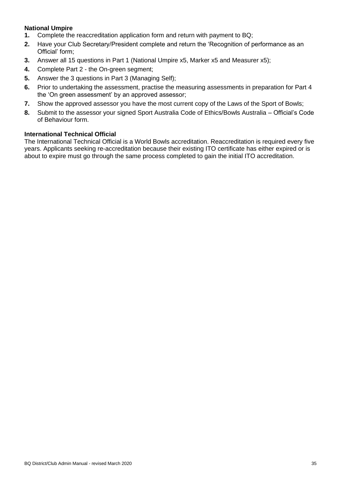# **National Umpire**

- **1.** Complete the reaccreditation application form and return with payment to BQ;
- **2.** Have your Club Secretary/President complete and return the 'Recognition of performance as an Official' form;
- **3.** Answer all 15 questions in Part 1 (National Umpire x5, Marker x5 and Measurer x5);
- **4.** Complete Part 2 the On-green segment;
- **5.** Answer the 3 questions in Part 3 (Managing Self);
- **6.** Prior to undertaking the assessment, practise the measuring assessments in preparation for Part 4 the 'On green assessment' by an approved assessor;
- **7.** Show the approved assessor you have the most current copy of the Laws of the Sport of Bowls;
- **8.** Submit to the assessor your signed Sport Australia Code of Ethics/Bowls Australia Official's Code of Behaviour form.

#### **International Technical Official**

The International Technical Official is a World Bowls accreditation. Reaccreditation is required every five years. Applicants seeking re-accreditation because their existing ITO certificate has either expired or is about to expire must go through the same process completed to gain the initial ITO accreditation.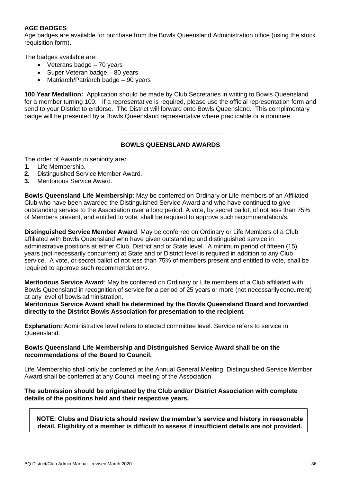# **AGE BADGES**

Age badges are available for purchase from the Bowls Queensland Administration office (using the stock requisition form).

The badges available are:

- Veterans badge 70 years
- Super Veteran badge 80 years
- Matriarch/Patriarch badge 90 years

**100 Year Medallion:** Application should be made by Club Secretaries in writing to Bowls Queensland for a member turning 100. If a representative is required, please use the official representation form and send to your District to endorse. The District will forward onto Bowls Queensland. This complimentary badge will be presented by a Bowls Queensland representative where practicable or a nominee.

#### **BOWLS QUEENSLAND AWARDS**

The order of Awards in seniority are*:*

- **1.** Life Membership.
- **2.** Distinguished Service Member Award.
- **3.** Meritorious Service Award.

**Bowls Queensland Life Membership**: May be conferred on Ordinary or Life members of an Affiliated Club who have been awarded the Distinguished Service Award and who have continued to give outstanding service to the Association over a long period. A vote, by secret ballot, of not less than 75% of Members present, and entitled to vote, shall be required to approve such recommendation/s.

**Distinguished Service Member Award**: May be conferred on Ordinary or Life Members of a Club affiliated with Bowls Queensland who have given outstanding and distinguished service in administrative positions at either Club, District and or State level. A minimum period of fifteen (15) years (not necessarily concurrent) at State and or District level is required in addition to any Club service. A vote, or secret ballot of not less than 75% of members present and entitled to vote, shall be required to approve such recommendation/s.

**Meritorious Service Award**: May be conferred on Ordinary or Life members of a Club affiliated with Bowls Queensland in recognition of service for a period of 25 years or more (not necessarilyconcurrent) at any level of bowls administration.

**Meritorious Service Award shall be determined by the Bowls Queensland Board and forwarded directly to the District Bowls Association for presentation to the recipient***.*

**Explanation:** Administrative level refers to elected committee level. Service refers to service in Queensland.

#### **Bowls Queensland Life Membership and Distinguished Service Award shall be on the recommendations of the Board to Council.**

Life Membership shall only be conferred at the Annual General Meeting. Distinguished Service Member Award shall be conferred at any Council meeting of the Association.

# **The submission should be originated by the Club and/or District Association with complete details of the positions held and their respective years.**

**NOTE: Clubs and Districts should review the member's service and history in reasonable detail. Eligibility of a member is difficult to assess if insufficient details are not provided.**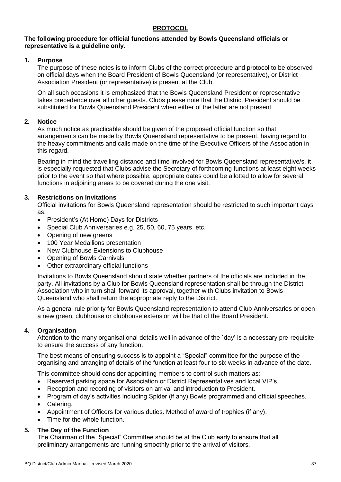# **PROTOCOL**

# **The following procedure for official functions attended by Bowls Queensland officials or representative is a guideline only.**

# **1. Purpose**

The purpose of these notes is to inform Clubs of the correct procedure and protocol to be observed on official days when the Board President of Bowls Queensland (or representative), or District Association President (or representative) is present at the Club.

On all such occasions it is emphasized that the Bowls Queensland President or representative takes precedence over all other guests. Clubs please note that the District President should be substituted for Bowls Queensland President when either of the latter are not present.

# **2. Notice**

As much notice as practicable should be given of the proposed official function so that arrangements can be made by Bowls Queensland representative to be present, having regard to the heavy commitments and calls made on the time of the Executive Officers of the Association in this regard.

Bearing in mind the travelling distance and time involved for Bowls Queensland representative/s, it is especially requested that Clubs advise the Secretary of forthcoming functions at least eight weeks prior to the event so that where possible, appropriate dates could be allotted to allow for several functions in adjoining areas to be covered during the one visit.

# **3. Restrictions on Invitations**

Official invitations for Bowls Queensland representation should be restricted to such important days as:

- President's (At Home) Days for Districts
- Special Club Anniversaries e.g. 25, 50, 60, 75 years, etc.
- Opening of new greens
- 100 Year Medallions presentation
- New Clubhouse Extensions to Clubhouse
- Opening of Bowls Carnivals
- Other extraordinary official functions

Invitations to Bowls Queensland should state whether partners of the officials are included in the party. All invitations by a Club for Bowls Queensland representation shall be through the District Association who in turn shall forward its approval, together with Clubs invitation to Bowls Queensland who shall return the appropriate reply to the District.

As a general rule priority for Bowls Queensland representation to attend Club Anniversaries or open a new green, clubhouse or clubhouse extension will be that of the Board President.

# **4. Organisation**

Attention to the many organisational details well in advance of the `day' is a necessary pre-requisite to ensure the success of any function.

The best means of ensuring success is to appoint a "Special" committee for the purpose of the organising and arranging of details of the function at least four to six weeks in advance of the date.

This committee should consider appointing members to control such matters as:

- Reserved parking space for Association or District Representatives and local VIP's.
- Reception and recording of visitors on arrival and introduction to President.
- Program of day's activities including Spider (if any) Bowls programmed and official speeches.
- Catering.
- Appointment of Officers for various duties. Method of award of trophies (if any).
- Time for the whole function.

# **5. The Day of the Function**

The Chairman of the "Special" Committee should be at the Club early to ensure that all preliminary arrangements are running smoothly prior to the arrival of visitors.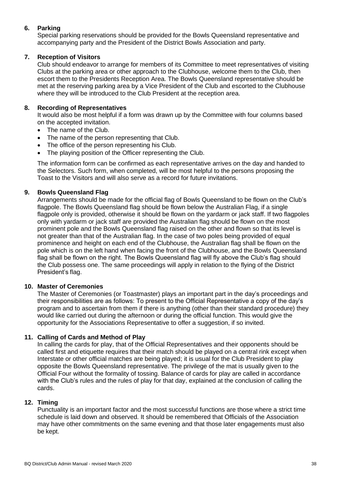# **6. Parking**

Special parking reservations should be provided for the Bowls Queensland representative and accompanying party and the President of the District Bowls Association and party.

# **7. Reception of Visitors**

Club should endeavor to arrange for members of its Committee to meet representatives of visiting Clubs at the parking area or other approach to the Clubhouse, welcome them to the Club, then escort them to the Presidents Reception Area. The Bowls Queensland representative should be met at the reserving parking area by a Vice President of the Club and escorted to the Clubhouse where they will be introduced to the Club President at the reception area.

# **8. Recording of Representatives**

It would also be most helpful if a form was drawn up by the Committee with four columns based on the accepted invitation.

- The name of the Club.
- The name of the person representing that Club.
- The office of the person representing his Club.
- The playing position of the Officer representing the Club.

The information form can be confirmed as each representative arrives on the day and handed to the Selectors. Such form, when completed, will be most helpful to the persons proposing the Toast to the Visitors and will also serve as a record for future invitations.

# **9. Bowls Queensland Flag**

Arrangements should be made for the official flag of Bowls Queensland to be flown on the Club's flagpole. The Bowls Queensland flag should be flown below the Australian Flag, if a single flagpole only is provided, otherwise it should be flown on the yardarm or jack staff. If two flagpoles only with yardarm or jack staff are provided the Australian flag should be flown on the most prominent pole and the Bowls Queensland flag raised on the other and flown so that its level is not greater than that of the Australian flag. In the case of two poles being provided of equal prominence and height on each end of the Clubhouse, the Australian flag shall be flown on the pole which is on the left hand when facing the front of the Clubhouse, and the Bowls Queensland flag shall be flown on the right. The Bowls Queensland flag will fly above the Club's flag should the Club possess one. The same proceedings will apply in relation to the flying of the District President's flag.

# **10. Master of Ceremonies**

The Master of Ceremonies (or Toastmaster) plays an important part in the day's proceedings and their responsibilities are as follows: To present to the Official Representative a copy of the day's program and to ascertain from them if there is anything (other than their standard procedure) they would like carried out during the afternoon or during the official function. This would give the opportunity for the Associations Representative to offer a suggestion, if so invited.

# **11. Calling of Cards and Method of Play**

In calling the cards for play, that of the Official Representatives and their opponents should be called first and etiquette requires that their match should be played on a central rink except when Interstate or other official matches are being played; it is usual for the Club President to play opposite the Bowls Queensland representative. The privilege of the mat is usually given to the Official Four without the formality of tossing. Balance of cards for play are called in accordance with the Club's rules and the rules of play for that day, explained at the conclusion of calling the cards.

# **12. Timing**

Punctuality is an important factor and the most successful functions are those where a strict time schedule is laid down and observed. It should be remembered that Officials of the Association may have other commitments on the same evening and that those later engagements must also be kept.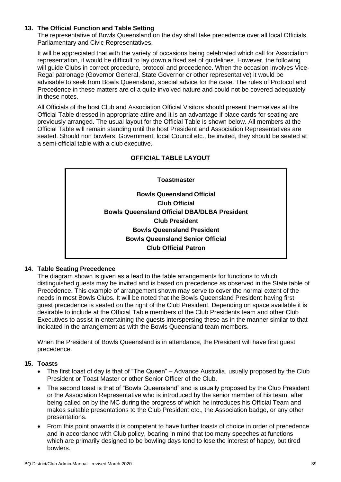# **13. The Official Function and Table Setting**

The representative of Bowls Queensland on the day shall take precedence over all local Officials, Parliamentary and Civic Representatives.

It will be appreciated that with the variety of occasions being celebrated which call for Association representation, it would be difficult to lay down a fixed set of guidelines. However, the following will guide Clubs in correct procedure, protocol and precedence. When the occasion involves Vice-Regal patronage (Governor General, State Governor or other representative) it would be advisable to seek from Bowls Queensland, special advice for the case. The rules of Protocol and Precedence in these matters are of a quite involved nature and could not be covered adequately in these notes.

All Officials of the host Club and Association Official Visitors should present themselves at the Official Table dressed in appropriate attire and it is an advantage if place cards for seating are previously arranged. The usual layout for the Official Table is shown below. All members at the Official Table will remain standing until the host President and Association Representatives are seated. Should non bowlers, Government, local Council etc., be invited, they should be seated at a semi-official table with a club executive.

# **OFFICIAL TABLE LAYOUT**

# **Toastmaster Bowls Queensland Official Club Official Bowls Queensland Official DBA/DLBA President Club President Bowls Queensland President Bowls Queensland Senior Official Club Official Patron**

# **14. Table Seating Precedence**

The diagram shown is given as a lead to the table arrangements for functions to which distinguished guests may be invited and is based on precedence as observed in the State table of Precedence. This example of arrangement shown may serve to cover the normal extent of the needs in most Bowls Clubs. It will be noted that the Bowls Queensland President having first guest precedence is seated on the right of the Club President. Depending on space available it is desirable to include at the Official Table members of the Club Presidents team and other Club Executives to assist in entertaining the guests interspersing these as in the manner similar to that indicated in the arrangement as with the Bowls Queensland team members.

When the President of Bowls Queensland is in attendance, the President will have first guest precedence.

#### **15. Toasts**

- The first toast of day is that of "The Queen" Advance Australia, usually proposed by the Club President or Toast Master or other Senior Officer of the Club.
- The second toast is that of "Bowls Queensland" and is usually proposed by the Club President or the Association Representative who is introduced by the senior member of his team, after being called on by the MC during the progress of which he introduces his Official Team and makes suitable presentations to the Club President etc., the Association badge, or any other presentations.
- From this point onwards it is competent to have further toasts of choice in order of precedence and in accordance with Club policy, bearing in mind that too many speeches at functions which are primarily designed to be bowling days tend to lose the interest of happy, but tired bowlers.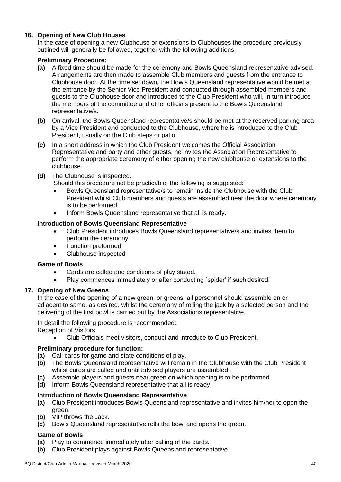# **16. Opening of New Club Houses**

In the case of opening a new Clubhouse or extensions to Clubhouses the procedure previously outlined will generally be followed, together with the following additions:

### **Preliminary Procedure:**

- **(a)** A fixed time should be made for the ceremony and Bowls Queensland representative advised. Arrangements are then made to assemble Club members and guests from the entrance to Clubhouse door. At the time set down, the Bowls Queensland representative would be met at the entrance by the Senior Vice President and conducted through assembled members and guests to the Clubhouse door and introduced to the Club President who will, in turn introduce the members of the committee and other officials present to the Bowls Queensland representative/s.
- **(b)** On arrival, the Bowls Queensland representative/s should be met at the reserved parking area by a Vice President and conducted to the Clubhouse, where he is introduced to the Club President, usually on the Club steps or patio.
- **(c)** In a short address in which the Club President welcomes the Official Association Representative and party and other guests, he invites the Association Representative to perform the appropriate ceremony of either opening the new clubhouse or extensions to the clubhouse.
- **(d)** The Clubhouse is inspected.

Should this procedure not be practicable, the following is suggested:

- Bowls Queensland representative/s to remain inside the Clubhouse with the Club President whilst Club members and guests are assembled near the door where ceremony is to be performed.
- Inform Bowls Queensland representative that all is ready.

#### **Introduction of Bowls Queensland Representative**

- Club President introduces Bowls Queensland representative/s and invites them to perform the ceremony
- Function preformed
- Clubhouse inspected

#### **Game of Bowls**

- Cards are called and conditions of play stated.
- Play commences immediately or after conducting `spider' if such desired.

# **17. Opening of New Greens**

In the case of the opening of a new green, or greens, all personnel should assemble on or adjacent to same, as desired, whilst the ceremony of rolling the jack by a selected person and the delivering of the first bowl is carried out by the Associations representative.

In detail the following procedure is recommended:

Reception of Visitors

• Club Officials meet visitors, conduct and introduce to Club President.

#### **Preliminary procedure for function:**

- **(a)** Call cards for game and state conditions of play.
- **(b)** The Bowls Queensland representative will remain in the Clubhouse with the Club President whilst cards are called and until advised players are assembled.
- **(c)** Assemble players and guests near green on which opening is to be performed.
- **(d)** Inform Bowls Queensland representative that all is ready.

# **Introduction of Bowls Queensland Representative**

- **(a)** Club President introduces Bowls Queensland representative and invites him/her to open the green.
- **(b)** VIP throws the Jack.
- **(c)** Bowls Queensland representative rolls the bowl and opens the green.

#### **Game of Bowls**

- **(a)** Play to commence immediately after calling of the cards.
- **(b)** Club President plays against Bowls Queensland representative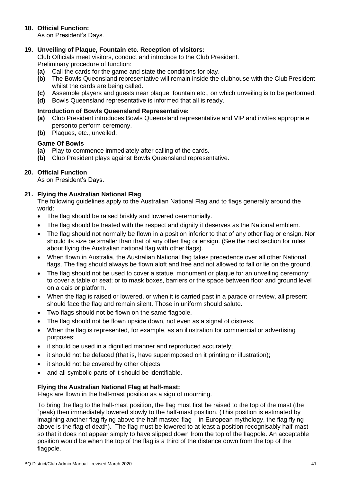# **18. Official Function:**

As on President's Days.

# **19. Unveiling of Plaque, Fountain etc. Reception of visitors:**

Club Officials meet visitors, conduct and introduce to the Club President. Preliminary procedure of function:

- **(a)** Call the cards for the game and state the conditions for play.
- **(b)** The Bowls Queensland representative will remain inside the clubhouse with the ClubPresident whilst the cards are being called.
- **(c)** Assemble players and guests near plaque, fountain etc., on which unveiling is to be performed.
- **(d)** Bowls Queensland representative is informed that all is ready.

#### **Introduction of Bowls Queensland Representative:**

- **(a)** Club President introduces Bowls Queensland representative and VIP and invites appropriate personto perform ceremony.
- **(b)** Plaques, etc., unveiled.

#### **Game Of Bowls**

- **(a)** Play to commence immediately after calling of the cards.
- **(b)** Club President plays against Bowls Queensland representative.

# **20. Official Function**

As on President's Days.

# **21. Flying the Australian National Flag**

The following guidelines apply to the Australian National Flag and to flags generally around the world:

- The flag should be raised briskly and lowered ceremonially.
- The flag should be treated with the respect and dignity it deserves as the National emblem.
- The flag should not normally be flown in a position inferior to that of any other flag or ensign. Nor should its size be smaller than that of any other flag or ensign. (See the next section for rules about flying the Australian national flag with other flags).
- When flown in Australia, the Australian National flag takes precedence over all other National flags. The flag should always be flown aloft and free and not allowed to fall or lie on the ground.
- The flag should not be used to cover a statue, monument or plaque for an unveiling ceremony; to cover a table or seat; or to mask boxes, barriers or the space between floor and ground level on a dais or platform.
- When the flag is raised or lowered, or when it is carried past in a parade or review, all present should face the flag and remain silent. Those in uniform should salute.
- Two flags should not be flown on the same flagpole.
- The flag should not be flown upside down, not even as a signal of distress.
- When the flag is represented, for example, as an illustration for commercial or advertising purposes:
- it should be used in a dignified manner and reproduced accurately;
- it should not be defaced (that is, have superimposed on it printing or illustration);
- it should not be covered by other objects;
- and all symbolic parts of it should be identifiable.

# **Flying the Australian National Flag at half-mast:**

Flags are flown in the half-mast position as a sign of mourning.

To bring the flag to the half-mast position, the flag must first be raised to the top of the mast (the `peak) then immediately lowered slowly to the half-mast position. (This position is estimated by imagining another flag flying above the half-masted flag – in European mythology, the flag flying above is the flag of death). The flag must be lowered to at least a position recognisably half-mast so that it does not appear simply to have slipped down from the top of the flagpole. An acceptable position would be when the top of the flag is a third of the distance down from the top of the flagpole.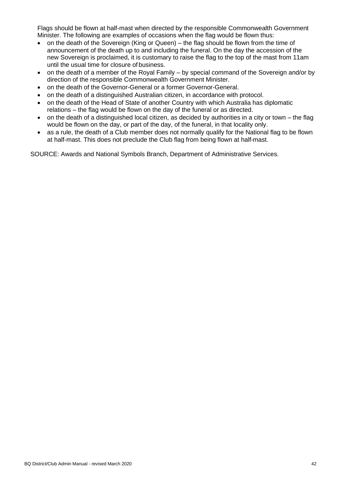Flags should be flown at half-mast when directed by the responsible Commonwealth Government Minister. The following are examples of occasions when the flag would be flown thus:

- on the death of the Sovereign (King or Queen) the flag should be flown from the time of announcement of the death up to and including the funeral. On the day the accession of the new Sovereign is proclaimed, it is customary to raise the flag to the top of the mast from 11am until the usual time for closure of business.
- on the death of a member of the Royal Family by special command of the Sovereign and/or by direction of the responsible Commonwealth Government Minister.
- on the death of the Governor-General or a former Governor-General.
- on the death of a distinguished Australian citizen, in accordance with protocol.
- on the death of the Head of State of another Country with which Australia has diplomatic relations – the flag would be flown on the day of the funeral or as directed.
- on the death of a distinguished local citizen, as decided by authorities in a city or town the flag would be flown on the day, or part of the day, of the funeral, in that locality only.
- as a rule, the death of a Club member does not normally qualify for the National flag to be flown at half-mast. This does not preclude the Club flag from being flown at half-mast.

SOURCE: Awards and National Symbols Branch, Department of Administrative Services.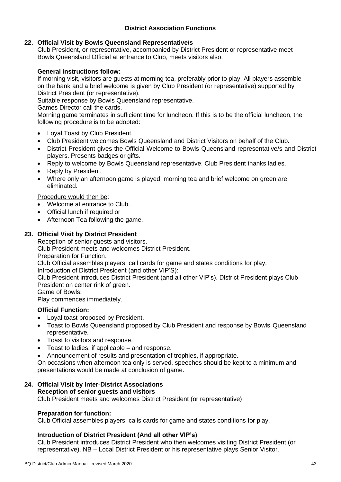# **District Association Functions**

# **22. Official Visit by Bowls Queensland Representative/s**

Club President, or representative, accompanied by District President or representative meet Bowls Queensland Official at entrance to Club, meets visitors also.

# **General instructions follow:**

If morning visit, visitors are guests at morning tea, preferably prior to play. All players assemble on the bank and a brief welcome is given by Club President (or representative) supported by District President (or representative).

Suitable response by Bowls Queensland representative.

Games Director call the cards.

Morning game terminates in sufficient time for luncheon. If this is to be the official luncheon, the following procedure is to be adopted:

- Loyal Toast by Club President.
- Club President welcomes Bowls Queensland and District Visitors on behalf of the Club.
- District President gives the Official Welcome to Bowls Queensland representative/s and District players. Presents badges or gifts.
- Reply to welcome by Bowls Queensland representative. Club President thanks ladies.
- Reply by President.
- Where only an afternoon game is played, morning tea and brief welcome on green are eliminated.

#### Procedure would then be:

- Welcome at entrance to Club.
- Official lunch if required or
- Afternoon Tea following the game.

# **23. Official Visit by District President**

Reception of senior guests and visitors.

Club President meets and welcomes District President.

Preparation for Function.

Club Official assembles players, call cards for game and states conditions for play.

Introduction of District President (and other VIP'S):

Club President introduces District President (and all other VIP's). District President plays Club President on center rink of green.

Game of Bowls:

Play commences immediately.

# **Official Function:**

- Loyal toast proposed by President.
- Toast to Bowls Queensland proposed by Club President and response by Bowls Queensland representative.
- Toast to visitors and response.
- Toast to ladies, if applicable and response.
- Announcement of results and presentation of trophies, if appropriate.

On occasions when afternoon tea only is served, speeches should be kept to a minimum and presentations would be made at conclusion of game.

# **24. Official Visit by Inter-District Associations**

# **Reception of senior guests and visitors**

Club President meets and welcomes District President (or representative)

# **Preparation for function:**

Club Official assembles players, calls cards for game and states conditions for play.

# **Introduction of District President (And all other VIP's)**

Club President introduces District President who then welcomes visiting District President (or representative). NB – Local District President or his representative plays Senior Visitor.